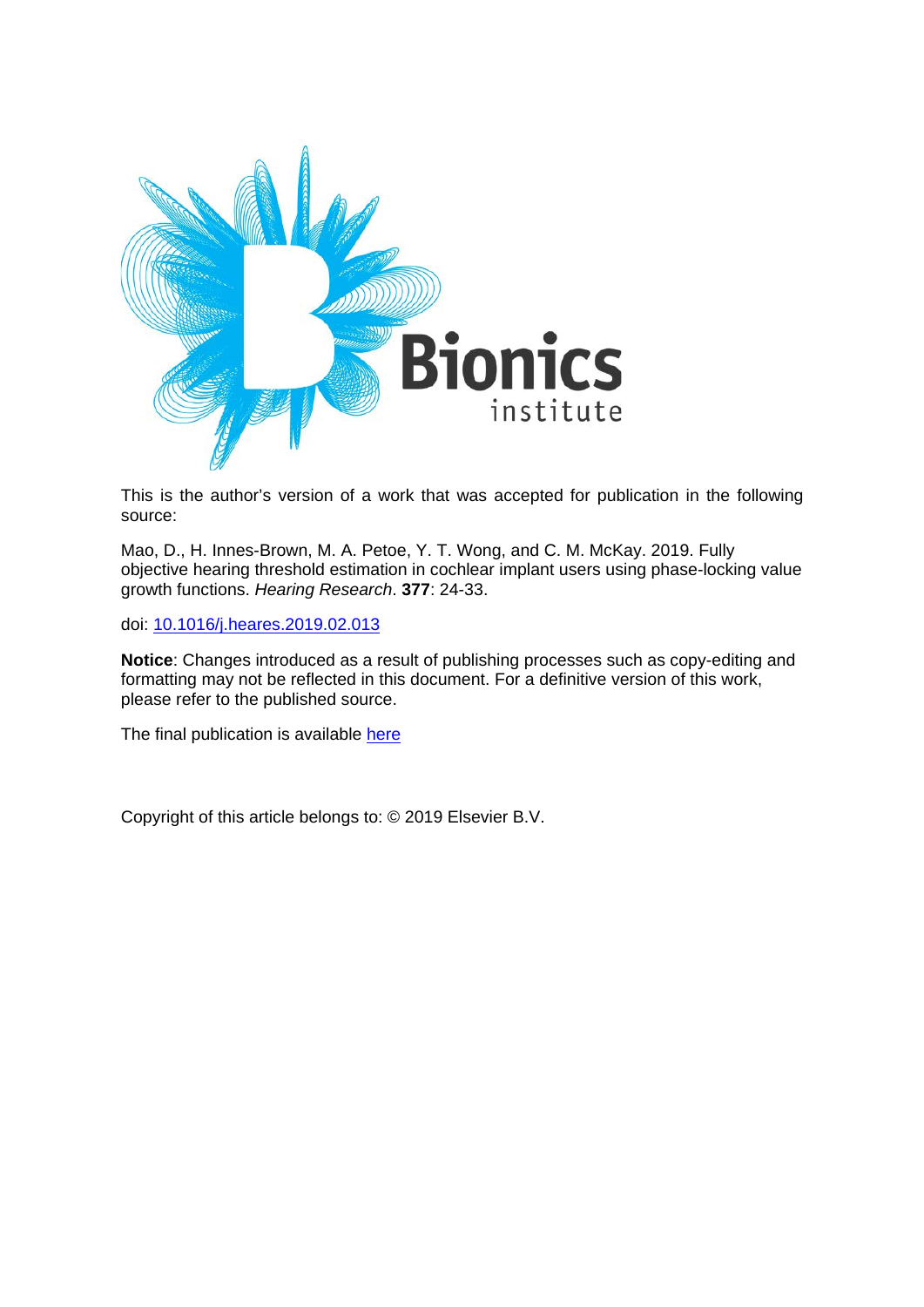

This is the author's version of a work that was accepted for publication in the following source:

Mao, D., H. Innes-Brown, M. A. Petoe, Y. T. Wong, and C. M. McKay. 2019. Fully objective hearing threshold estimation in cochlear implant users using phase-locking value growth functions. *Hearing Research*. **377**: 24-33.

doi: [10.1016/j.heares.2019.02.013](https://doi.org/10.1016/j.heares.2019.02.013)

**Notice**: Changes introduced as a result of publishing processes such as copy-editing and formatting may not be reflected in this document. For a definitive version of this work, please refer to the published source.

The final publication is available [here](https://doi.org/10.1016/j.heares.2019.02.013)

Copyright of this article belongs to: © 2019 Elsevier B.V.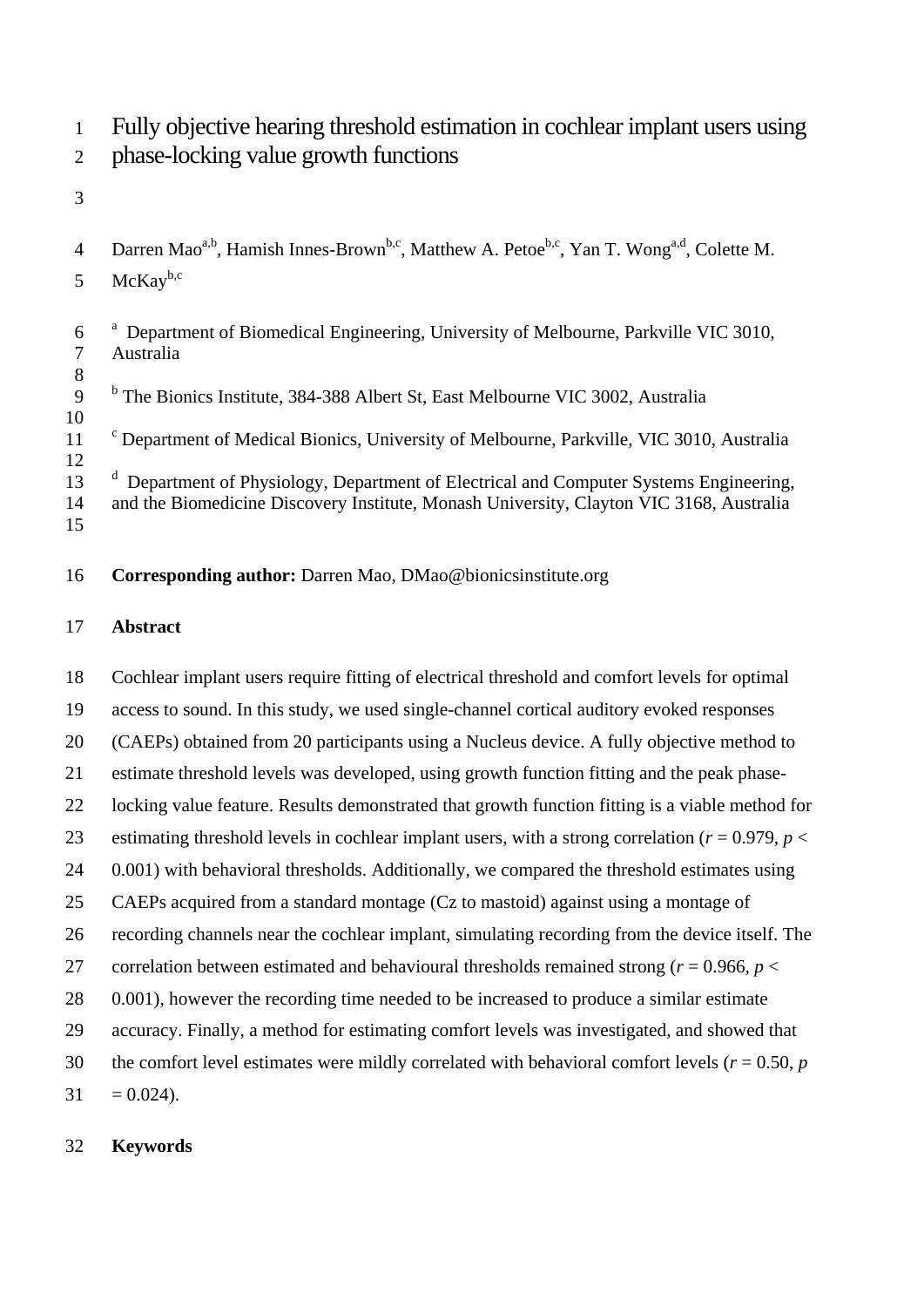- Fully objective hearing threshold estimation in cochlear implant users using
- phase-locking value growth functions
- 
- 4 Darren Mao<sup>a,b</sup>, Hamish Innes-Brown<sup>b,c</sup>, Matthew A. Petoe<sup>b,c</sup>, Yan T. Wong<sup>a,d</sup>, Colette M.
- 5  $McKav^{b,c}$
- <sup>a</sup> Department of Biomedical Engineering, University of Melbourne, Parkville VIC 3010, Australia
- <sup>b</sup> The Bionics Institute, 384-388 Albert St, East Melbourne VIC 3002, Australia
- 10<br>11 <sup>c</sup> Department of Medical Bionics, University of Melbourne, Parkville, VIC 3010, Australia
- 13 <sup>d</sup> Department of Physiology, Department of Electrical and Computer Systems Engineering, and the Biomedicine Discovery Institute, Monash University, Clayton VIC 3168, Australia
- **Corresponding author:** Darren Mao, DMao@bionicsinstitute.org

# **Abstract**

 Cochlear implant users require fitting of electrical threshold and comfort levels for optimal access to sound. In this study, we used single-channel cortical auditory evoked responses (CAEPs) obtained from 20 participants using a Nucleus device. A fully objective method to estimate threshold levels was developed, using growth function fitting and the peak phase- locking value feature. Results demonstrated that growth function fitting is a viable method for 23 estimating threshold levels in cochlear implant users, with a strong correlation ( $r = 0.979$ ,  $p <$ 24 0.001) with behavioral thresholds. Additionally, we compared the threshold estimates using CAEPs acquired from a standard montage (Cz to mastoid) against using a montage of recording channels near the cochlear implant, simulating recording from the device itself. The 27 correlation between estimated and behavioural thresholds remained strong ( $r = 0.966$ ,  $p <$ 28 0.001), however the recording time needed to be increased to produce a similar estimate accuracy. Finally, a method for estimating comfort levels was investigated, and showed that 30 the comfort level estimates were mildly correlated with behavioral comfort levels ( $r = 0.50$ ,  $p = 0.50$  $31 = 0.024$ .

# **Keywords**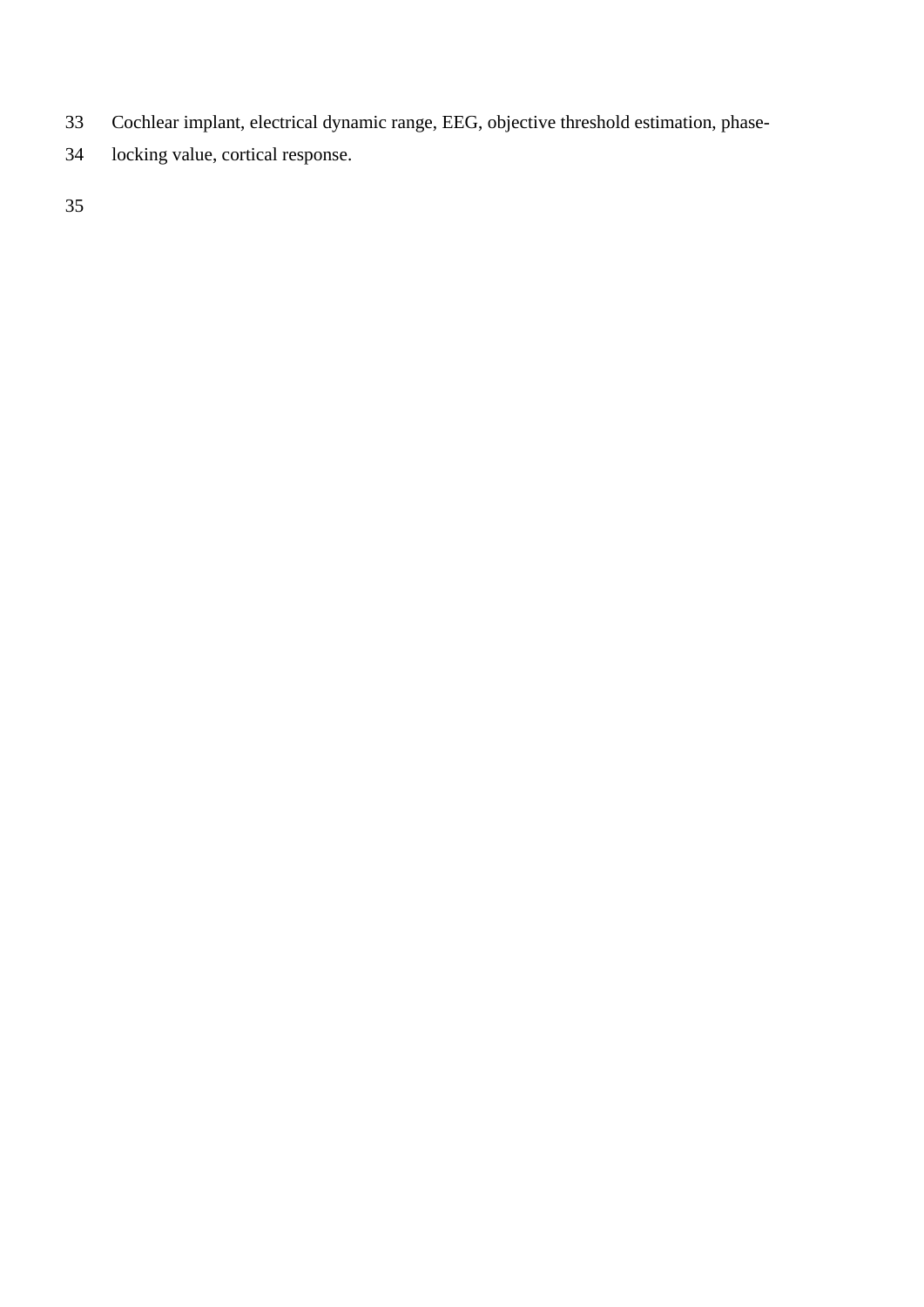- Cochlear implant, electrical dynamic range, EEG, objective threshold estimation, phase-
- locking value, cortical response.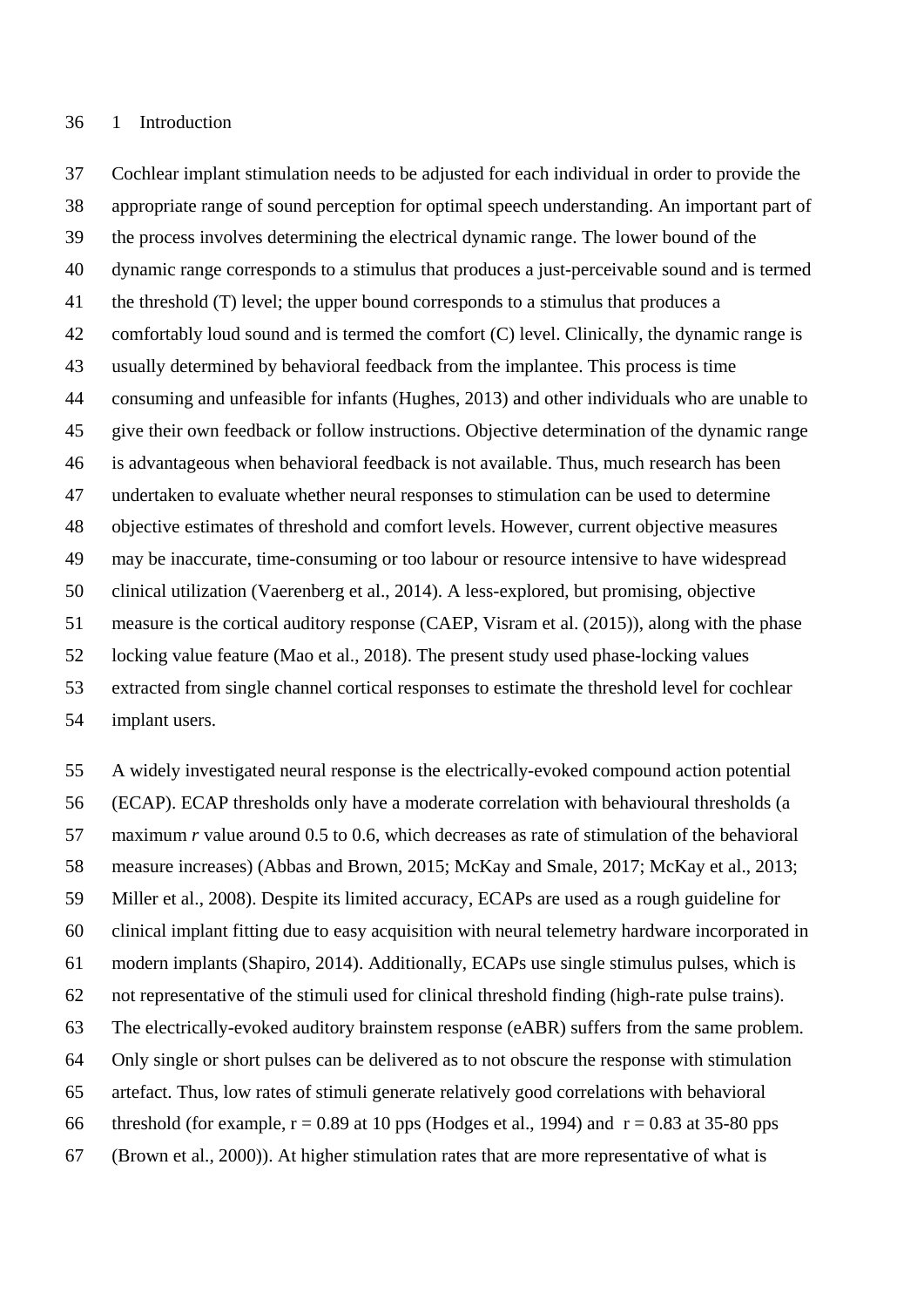#### 1 Introduction

 Cochlear implant stimulation needs to be adjusted for each individual in order to provide the appropriate range of sound perception for optimal speech understanding. An important part of the process involves determining the electrical dynamic range. The lower bound of the dynamic range corresponds to a stimulus that produces a just-perceivable sound and is termed the threshold (T) level; the upper bound corresponds to a stimulus that produces a comfortably loud sound and is termed the comfort (C) level. Clinically, the dynamic range is usually determined by behavioral feedback from the implantee. This process is time consuming and unfeasible for infants (Hughes, 2013) and other individuals who are unable to give their own feedback or follow instructions. Objective determination of the dynamic range is advantageous when behavioral feedback is not available. Thus, much research has been undertaken to evaluate whether neural responses to stimulation can be used to determine objective estimates of threshold and comfort levels. However, current objective measures may be inaccurate, time-consuming or too labour or resource intensive to have widespread clinical utilization (Vaerenberg et al., 2014). A less-explored, but promising, objective measure is the cortical auditory response (CAEP, Visram et al. (2015)), along with the phase locking value feature (Mao et al., 2018). The present study used phase-locking values extracted from single channel cortical responses to estimate the threshold level for cochlear implant users.

 A widely investigated neural response is the electrically-evoked compound action potential (ECAP). ECAP thresholds only have a moderate correlation with behavioural thresholds (a maximum *r* value around 0.5 to 0.6, which decreases as rate of stimulation of the behavioral measure increases) (Abbas and Brown, 2015; McKay and Smale, 2017; McKay et al., 2013; Miller et al., 2008). Despite its limited accuracy, ECAPs are used as a rough guideline for clinical implant fitting due to easy acquisition with neural telemetry hardware incorporated in modern implants (Shapiro, 2014). Additionally, ECAPs use single stimulus pulses, which is not representative of the stimuli used for clinical threshold finding (high-rate pulse trains). The electrically-evoked auditory brainstem response (eABR) suffers from the same problem. Only single or short pulses can be delivered as to not obscure the response with stimulation artefact. Thus, low rates of stimuli generate relatively good correlations with behavioral 66 threshold (for example,  $r = 0.89$  at 10 pps (Hodges et al., 1994) and  $r = 0.83$  at 35-80 pps (Brown et al., 2000)). At higher stimulation rates that are more representative of what is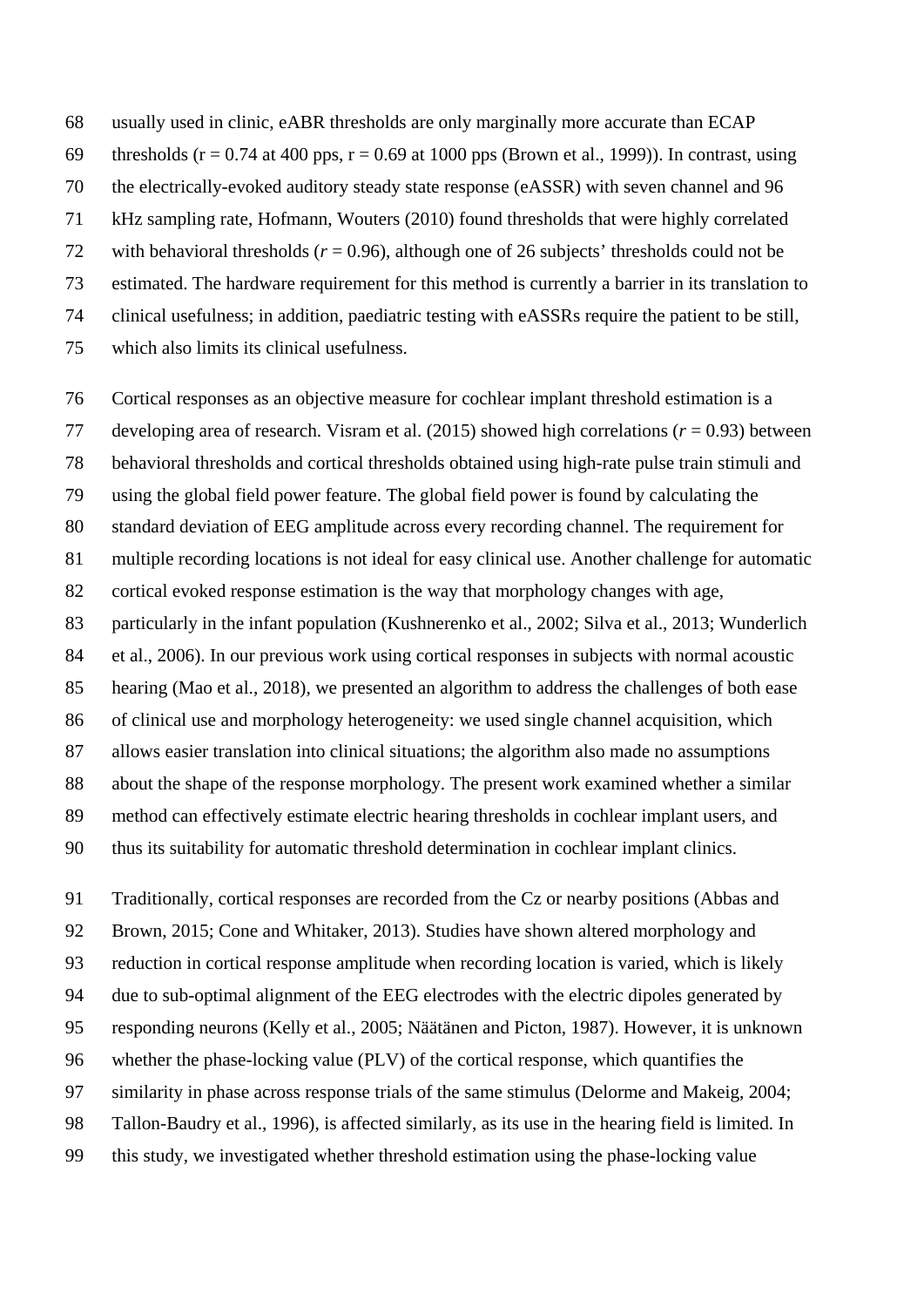usually used in clinic, eABR thresholds are only marginally more accurate than ECAP 69 thresholds ( $r = 0.74$  at 400 pps,  $r = 0.69$  at 1000 pps (Brown et al., 1999)). In contrast, using the electrically-evoked auditory steady state response (eASSR) with seven channel and 96 kHz sampling rate, Hofmann, Wouters (2010) found thresholds that were highly correlated with behavioral thresholds (*r* = 0.96), although one of 26 subjects' thresholds could not be estimated. The hardware requirement for this method is currently a barrier in its translation to clinical usefulness; in addition, paediatric testing with eASSRs require the patient to be still, which also limits its clinical usefulness.

 Cortical responses as an objective measure for cochlear implant threshold estimation is a developing area of research. Visram et al. (2015) showed high correlations (*r* = 0.93) between behavioral thresholds and cortical thresholds obtained using high-rate pulse train stimuli and using the global field power feature. The global field power is found by calculating the standard deviation of EEG amplitude across every recording channel. The requirement for multiple recording locations is not ideal for easy clinical use. Another challenge for automatic cortical evoked response estimation is the way that morphology changes with age, particularly in the infant population (Kushnerenko et al., 2002; Silva et al., 2013; Wunderlich et al., 2006). In our previous work using cortical responses in subjects with normal acoustic hearing (Mao et al., 2018), we presented an algorithm to address the challenges of both ease of clinical use and morphology heterogeneity: we used single channel acquisition, which allows easier translation into clinical situations; the algorithm also made no assumptions about the shape of the response morphology. The present work examined whether a similar method can effectively estimate electric hearing thresholds in cochlear implant users, and thus its suitability for automatic threshold determination in cochlear implant clinics.

 Traditionally, cortical responses are recorded from the Cz or nearby positions (Abbas and Brown, 2015; Cone and Whitaker, 2013). Studies have shown altered morphology and reduction in cortical response amplitude when recording location is varied, which is likely due to sub-optimal alignment of the EEG electrodes with the electric dipoles generated by responding neurons (Kelly et al., 2005; Näätänen and Picton, 1987). However, it is unknown whether the phase-locking value (PLV) of the cortical response, which quantifies the similarity in phase across response trials of the same stimulus (Delorme and Makeig, 2004; Tallon-Baudry et al., 1996), is affected similarly, as its use in the hearing field is limited. In this study, we investigated whether threshold estimation using the phase-locking value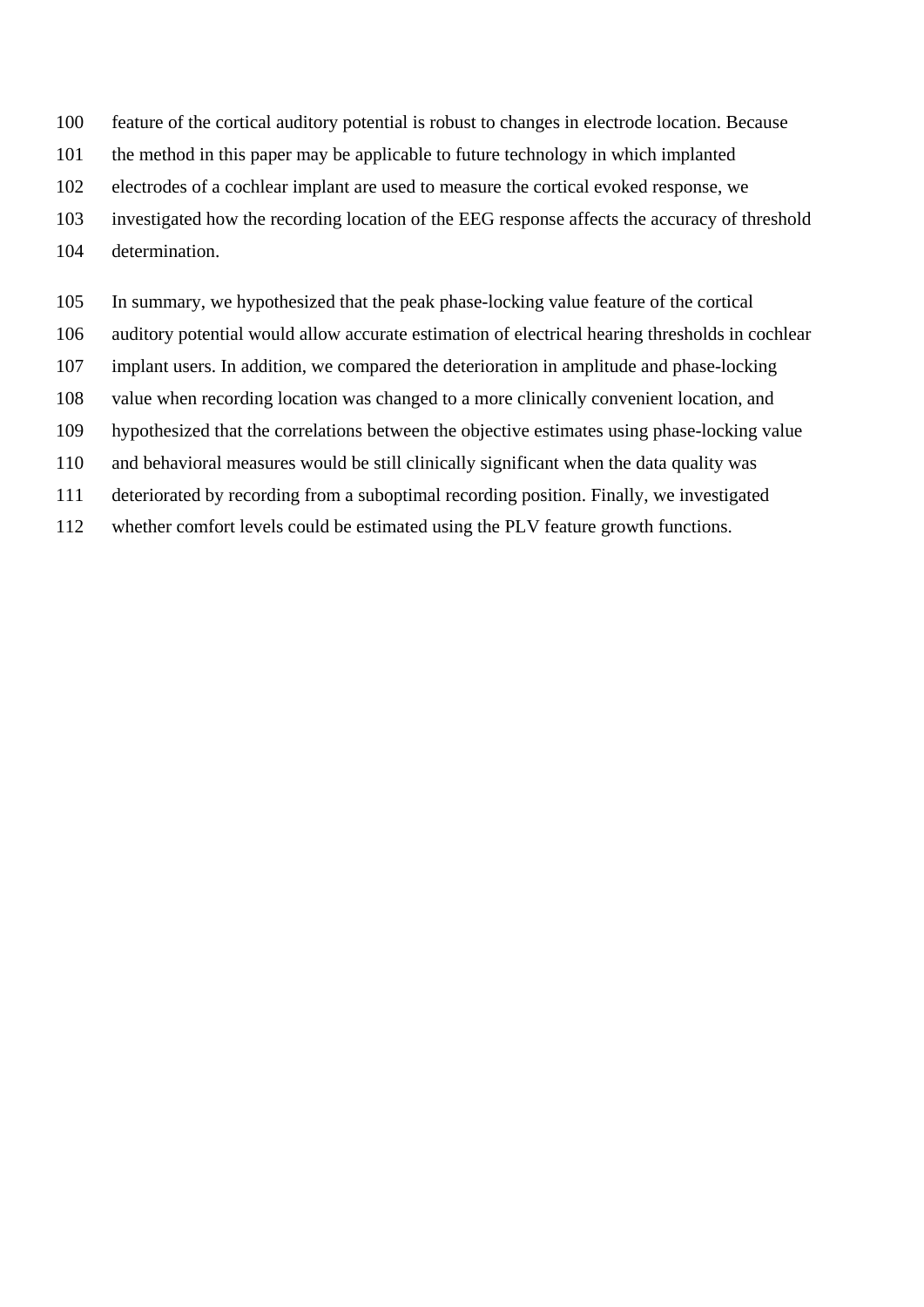- feature of the cortical auditory potential is robust to changes in electrode location. Because
- the method in this paper may be applicable to future technology in which implanted
- electrodes of a cochlear implant are used to measure the cortical evoked response, we
- investigated how the recording location of the EEG response affects the accuracy of threshold
- determination.
- In summary, we hypothesized that the peak phase-locking value feature of the cortical
- auditory potential would allow accurate estimation of electrical hearing thresholds in cochlear
- implant users. In addition, we compared the deterioration in amplitude and phase-locking
- value when recording location was changed to a more clinically convenient location, and
- hypothesized that the correlations between the objective estimates using phase-locking value
- and behavioral measures would be still clinically significant when the data quality was
- deteriorated by recording from a suboptimal recording position. Finally, we investigated
- whether comfort levels could be estimated using the PLV feature growth functions.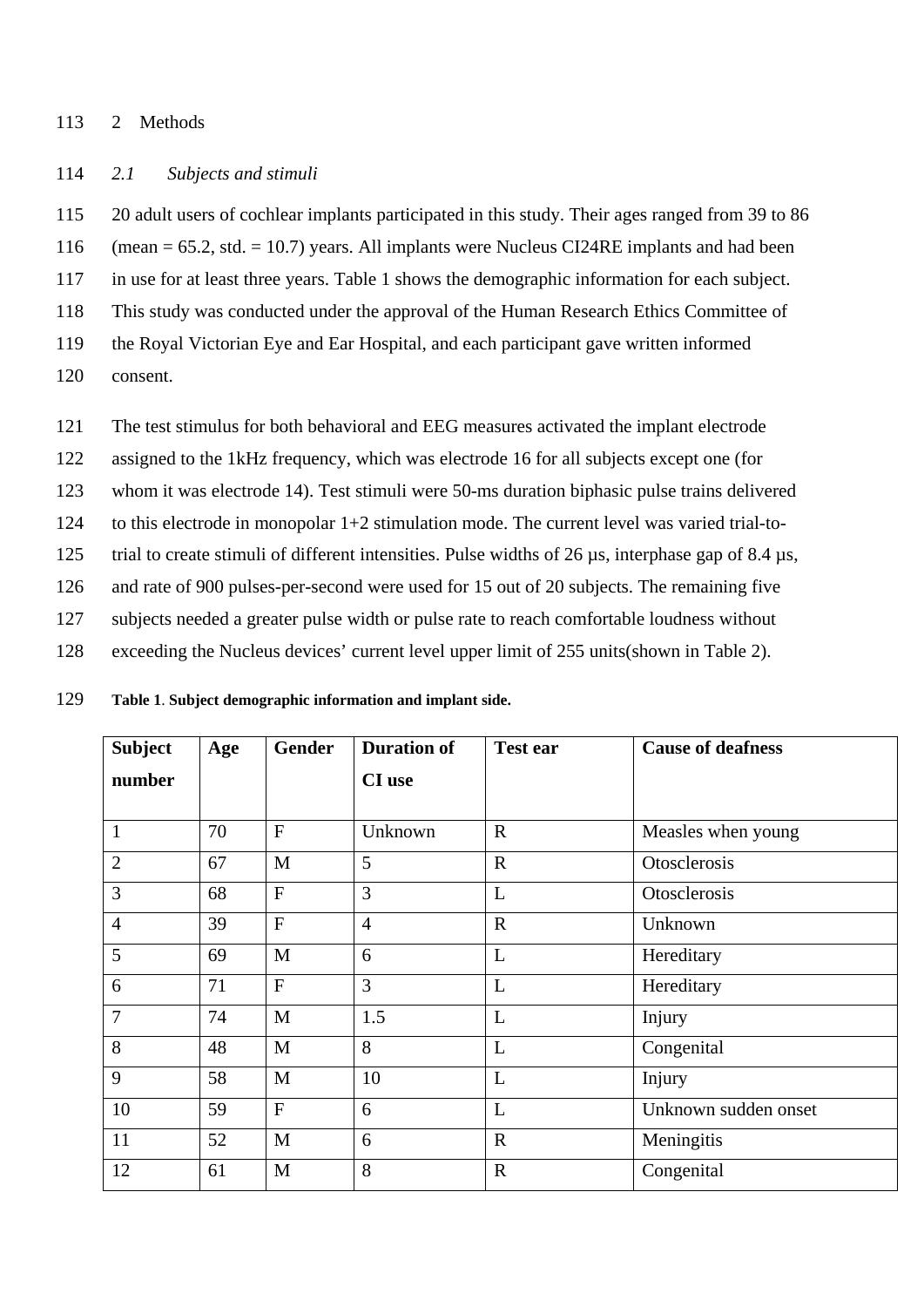#### 2 Methods

### *2.1 Subjects and stimuli*

20 adult users of cochlear implants participated in this study. Their ages ranged from 39 to 86

(mean = 65.2, std. = 10.7) years. All implants were Nucleus CI24RE implants and had been

in use for at least three years. Table 1 shows the demographic information for each subject.

This study was conducted under the approval of the Human Research Ethics Committee of

the Royal Victorian Eye and Ear Hospital, and each participant gave written informed

- consent.
- The test stimulus for both behavioral and EEG measures activated the implant electrode
- assigned to the 1kHz frequency, which was electrode 16 for all subjects except one (for

whom it was electrode 14). Test stimuli were 50-ms duration biphasic pulse trains delivered

- to this electrode in monopolar 1+2 stimulation mode. The current level was varied trial-to-
- trial to create stimuli of different intensities. Pulse widths of 26 µs, interphase gap of 8.4 µs,
- and rate of 900 pulses-per-second were used for 15 out of 20 subjects. The remaining five
- subjects needed a greater pulse width or pulse rate to reach comfortable loudness without
- exceeding the Nucleus devices' current level upper limit of 255 units(shown in Table 2).

| 129 | Table 1. Subject demographic information and implant side. |  |  |  |
|-----|------------------------------------------------------------|--|--|--|
|-----|------------------------------------------------------------|--|--|--|

| <b>Subject</b> | Age | <b>Gender</b>  | <b>Duration of</b> | <b>Test ear</b> | <b>Cause of deafness</b> |
|----------------|-----|----------------|--------------------|-----------------|--------------------------|
| number         |     |                | <b>CI</b> use      |                 |                          |
|                |     |                |                    |                 |                          |
| $\mathbf{1}$   | 70  | $\mathbf{F}$   | Unknown            | $\mathbf R$     | Measles when young       |
| $\overline{2}$ | 67  | M              | 5                  | $\mathbf R$     | Otosclerosis             |
| $\overline{3}$ | 68  | $\overline{F}$ | 3                  | L               | Otosclerosis             |
| $\overline{4}$ | 39  | $\overline{F}$ | $\overline{4}$     | $\mathbf R$     | Unknown                  |
| 5              | 69  | M              | 6                  | L               | Hereditary               |
| 6              | 71  | $\mathbf{F}$   | 3                  | L               | Hereditary               |
| $\overline{7}$ | 74  | M              | 1.5                | L               | Injury                   |
| 8              | 48  | M              | 8                  | L               | Congenital               |
| 9              | 58  | M              | 10                 | L               | Injury                   |
| 10             | 59  | $\mathbf{F}$   | 6                  | L               | Unknown sudden onset     |
| 11             | 52  | M              | 6                  | $\mathbf R$     | Meningitis               |
| 12             | 61  | M              | 8                  | $\mathbf R$     | Congenital               |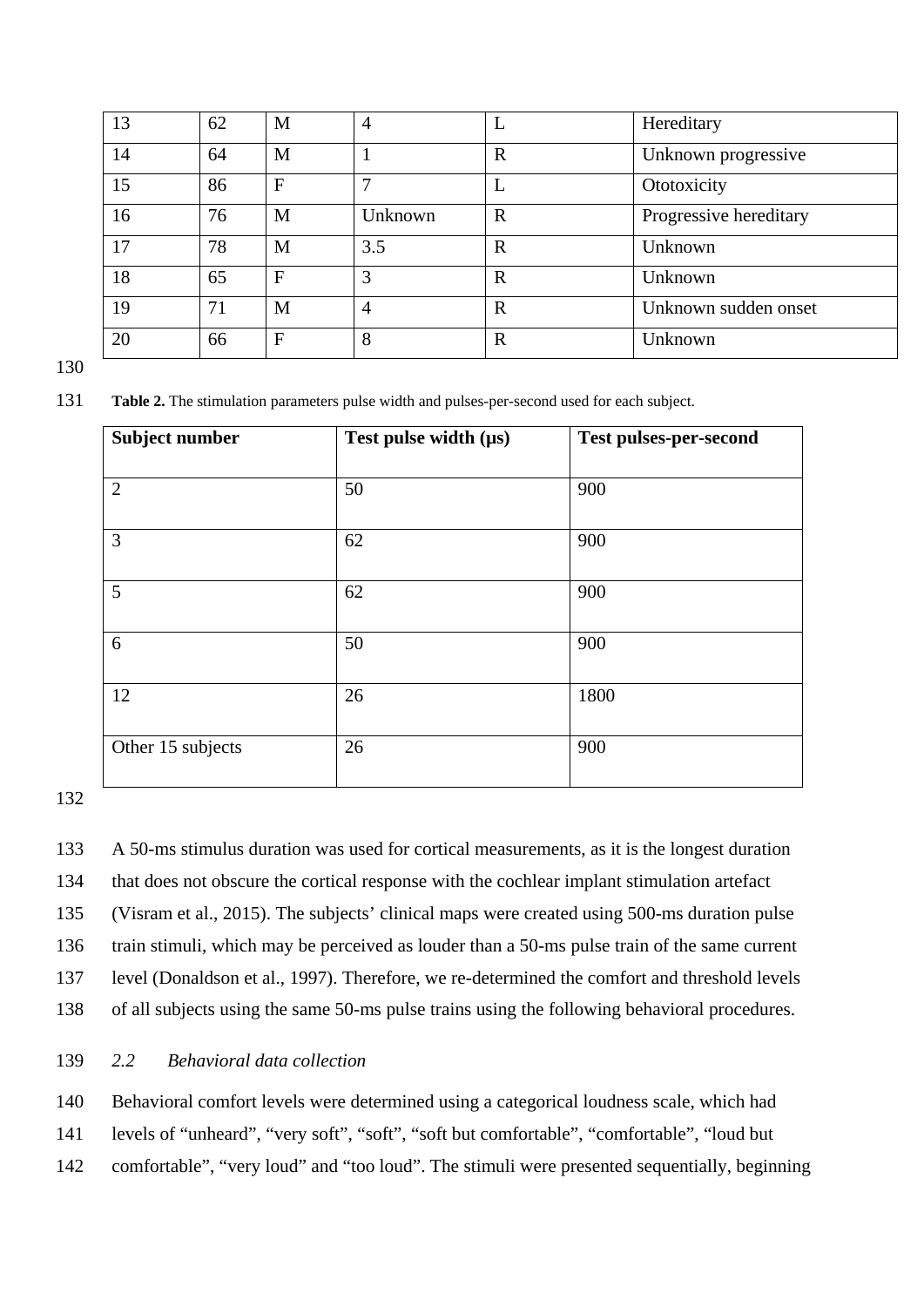| 13 | 62 | M            | 4              |              | Hereditary             |
|----|----|--------------|----------------|--------------|------------------------|
| 14 | 64 | M            |                | $\mathbb{R}$ | Unknown progressive    |
| 15 | 86 | $\mathbf{F}$ |                |              | Ototoxicity            |
| 16 | 76 | M            | Unknown        | $\mathbf R$  | Progressive hereditary |
| 17 | 78 | M            | 3.5            | R            | Unknown                |
| 18 | 65 | $\mathbf{F}$ | 3              | $\mathbf R$  | Unknown                |
| 19 | 71 | M            | $\overline{4}$ | $\mathbf R$  | Unknown sudden onset   |
| 20 | 66 | $\mathbf{F}$ | 8              | R            | Unknown                |

**Table 2.** The stimulation parameters pulse width and pulses-per-second used for each subject.

| Subject number    | Test pulse width $(\mu s)$ | <b>Test pulses-per-second</b> |
|-------------------|----------------------------|-------------------------------|
| $\overline{2}$    | 50                         | 900                           |
| 3                 | 62                         | 900                           |
| 5                 | 62                         | 900                           |
| 6                 | 50                         | 900                           |
| 12                | 26                         | 1800                          |
| Other 15 subjects | 26                         | 900                           |

 A 50-ms stimulus duration was used for cortical measurements, as it is the longest duration that does not obscure the cortical response with the cochlear implant stimulation artefact (Visram et al., 2015). The subjects' clinical maps were created using 500-ms duration pulse train stimuli, which may be perceived as louder than a 50-ms pulse train of the same current level (Donaldson et al., 1997). Therefore, we re-determined the comfort and threshold levels of all subjects using the same 50-ms pulse trains using the following behavioral procedures.

# *2.2 Behavioral data collection*

 Behavioral comfort levels were determined using a categorical loudness scale, which had levels of "unheard", "very soft", "soft", "soft but comfortable", "comfortable", "loud but comfortable", "very loud" and "too loud". The stimuli were presented sequentially, beginning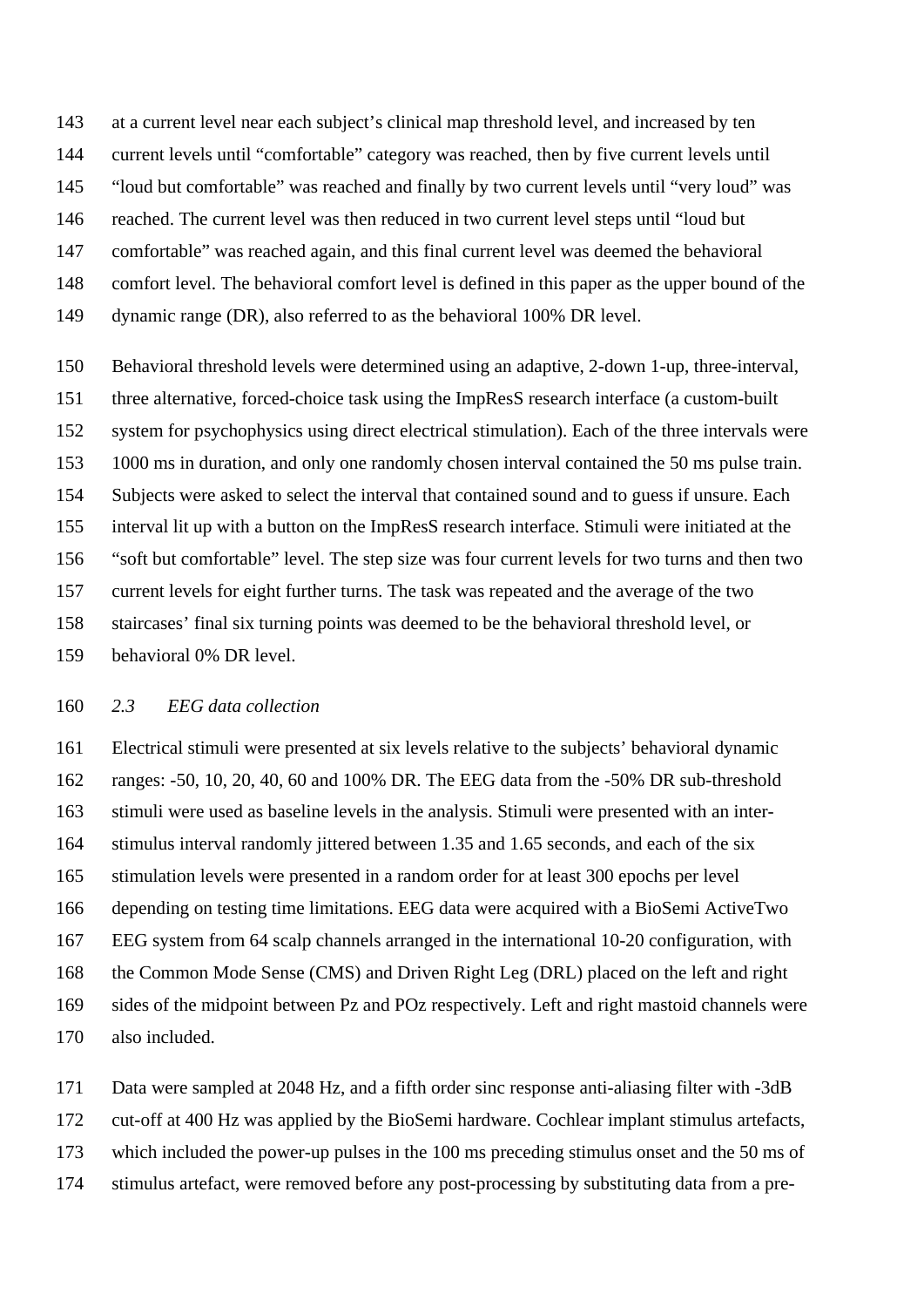at a current level near each subject's clinical map threshold level, and increased by ten current levels until "comfortable" category was reached, then by five current levels until "loud but comfortable" was reached and finally by two current levels until "very loud" was reached. The current level was then reduced in two current level steps until "loud but comfortable" was reached again, and this final current level was deemed the behavioral comfort level. The behavioral comfort level is defined in this paper as the upper bound of the dynamic range (DR), also referred to as the behavioral 100% DR level.

 Behavioral threshold levels were determined using an adaptive, 2-down 1-up, three-interval, three alternative, forced-choice task using the ImpResS research interface (a custom-built system for psychophysics using direct electrical stimulation). Each of the three intervals were 1000 ms in duration, and only one randomly chosen interval contained the 50 ms pulse train. Subjects were asked to select the interval that contained sound and to guess if unsure. Each interval lit up with a button on the ImpResS research interface. Stimuli were initiated at the "soft but comfortable" level. The step size was four current levels for two turns and then two current levels for eight further turns. The task was repeated and the average of the two staircases' final six turning points was deemed to be the behavioral threshold level, or behavioral 0% DR level.

### *2.3 EEG data collection*

 Electrical stimuli were presented at six levels relative to the subjects' behavioral dynamic ranges: -50, 10, 20, 40, 60 and 100% DR. The EEG data from the -50% DR sub-threshold stimuli were used as baseline levels in the analysis. Stimuli were presented with an inter- stimulus interval randomly jittered between 1.35 and 1.65 seconds, and each of the six stimulation levels were presented in a random order for at least 300 epochs per level depending on testing time limitations. EEG data were acquired with a BioSemi ActiveTwo EEG system from 64 scalp channels arranged in the international 10-20 configuration, with the Common Mode Sense (CMS) and Driven Right Leg (DRL) placed on the left and right sides of the midpoint between Pz and POz respectively. Left and right mastoid channels were also included.

 Data were sampled at 2048 Hz, and a fifth order sinc response anti-aliasing filter with -3dB cut-off at 400 Hz was applied by the BioSemi hardware. Cochlear implant stimulus artefacts, which included the power-up pulses in the 100 ms preceding stimulus onset and the 50 ms of stimulus artefact, were removed before any post-processing by substituting data from a pre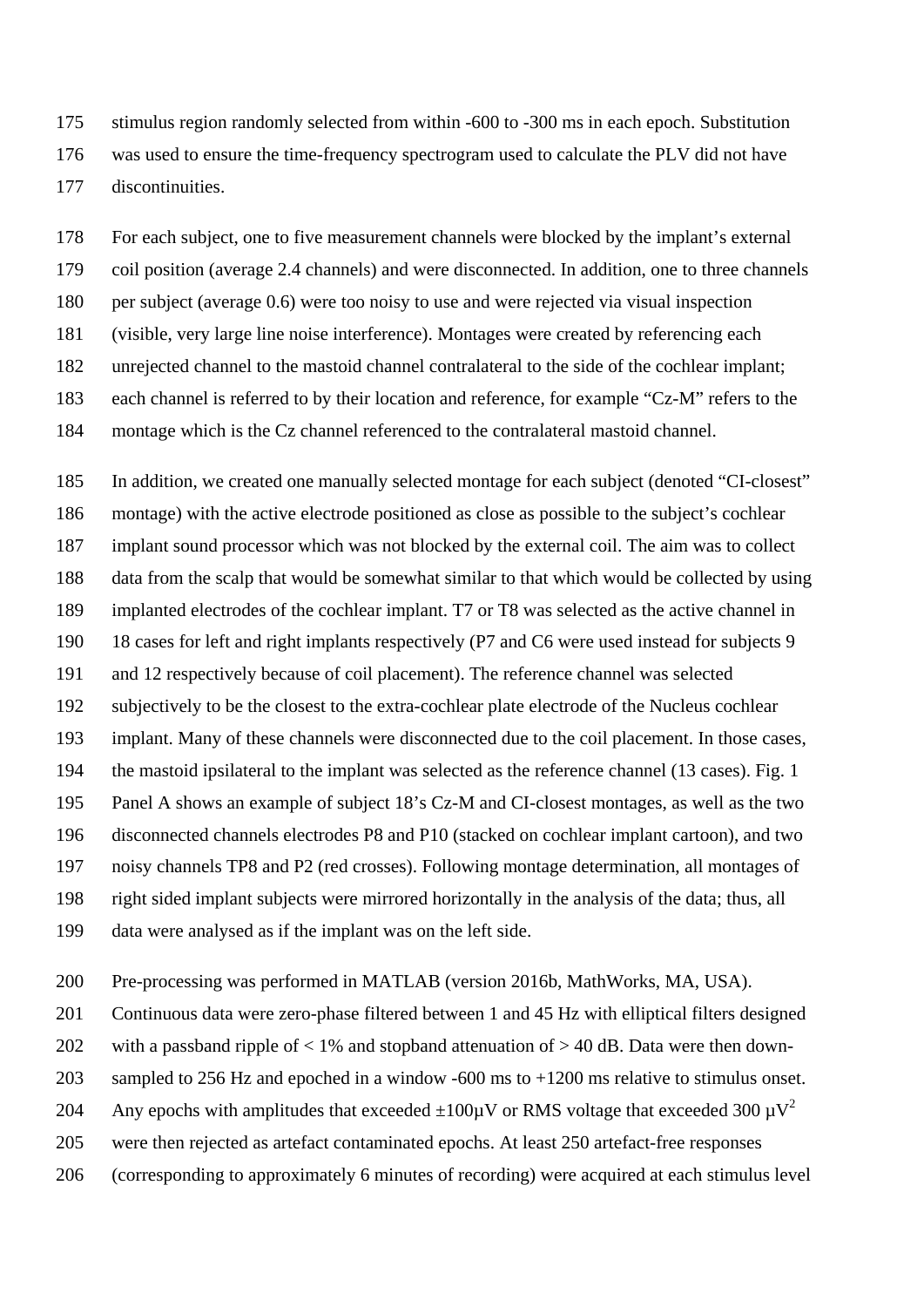stimulus region randomly selected from within -600 to -300 ms in each epoch. Substitution was used to ensure the time-frequency spectrogram used to calculate the PLV did not have discontinuities.

 For each subject, one to five measurement channels were blocked by the implant's external coil position (average 2.4 channels) and were disconnected. In addition, one to three channels per subject (average 0.6) were too noisy to use and were rejected via visual inspection (visible, very large line noise interference). Montages were created by referencing each unrejected channel to the mastoid channel contralateral to the side of the cochlear implant; each channel is referred to by their location and reference, for example "Cz-M" refers to the montage which is the Cz channel referenced to the contralateral mastoid channel.

 In addition, we created one manually selected montage for each subject (denoted "CI-closest" montage) with the active electrode positioned as close as possible to the subject's cochlear implant sound processor which was not blocked by the external coil. The aim was to collect data from the scalp that would be somewhat similar to that which would be collected by using implanted electrodes of the cochlear implant. T7 or T8 was selected as the active channel in 18 cases for left and right implants respectively (P7 and C6 were used instead for subjects 9 and 12 respectively because of coil placement). The reference channel was selected subjectively to be the closest to the extra-cochlear plate electrode of the Nucleus cochlear implant. Many of these channels were disconnected due to the coil placement. In those cases, the mastoid ipsilateral to the implant was selected as the reference channel (13 cases). Fig. 1 Panel A shows an example of subject 18's Cz-M and CI-closest montages, as well as the two disconnected channels electrodes P8 and P10 (stacked on cochlear implant cartoon), and two noisy channels TP8 and P2 (red crosses). Following montage determination, all montages of right sided implant subjects were mirrored horizontally in the analysis of the data; thus, all data were analysed as if the implant was on the left side.

Pre-processing was performed in MATLAB (version 2016b, MathWorks, MA, USA).

Continuous data were zero-phase filtered between 1 and 45 Hz with elliptical filters designed

202 with a passband ripple of  $< 1\%$  and stopband attenuation of  $> 40$  dB. Data were then down-

203 sampled to 256 Hz and epoched in a window -600 ms to +1200 ms relative to stimulus onset.

204 Any epochs with amplitudes that exceeded  $\pm 100 \mu$ V or RMS voltage that exceeded 300  $\mu$ V<sup>2</sup>

were then rejected as artefact contaminated epochs. At least 250 artefact-free responses

(corresponding to approximately 6 minutes of recording) were acquired at each stimulus level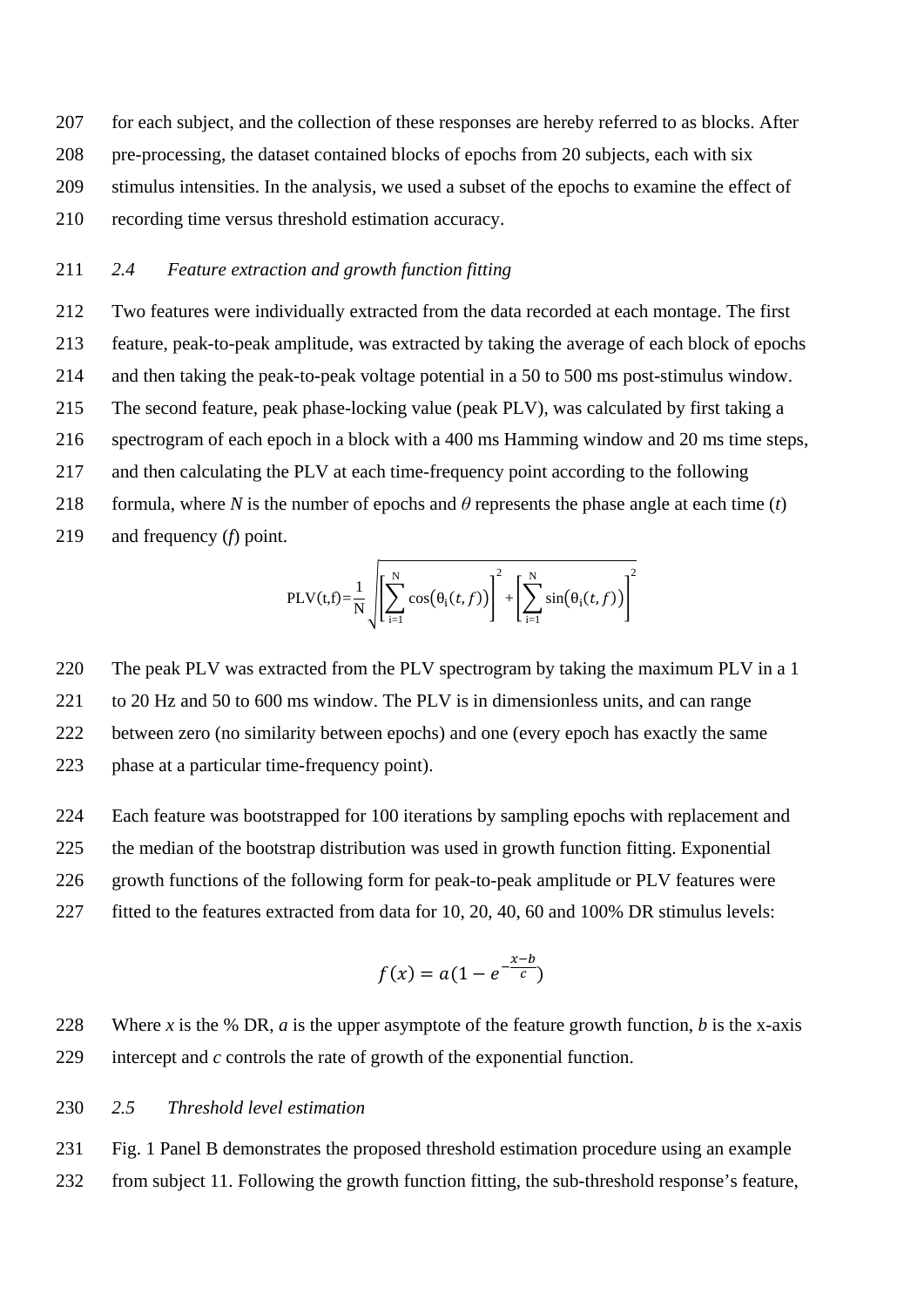for each subject, and the collection of these responses are hereby referred to as blocks. After pre-processing, the dataset contained blocks of epochs from 20 subjects, each with six stimulus intensities. In the analysis, we used a subset of the epochs to examine the effect of recording time versus threshold estimation accuracy.

## *2.4 Feature extraction and growth function fitting*

 Two features were individually extracted from the data recorded at each montage. The first feature, peak-to-peak amplitude, was extracted by taking the average of each block of epochs and then taking the peak-to-peak voltage potential in a 50 to 500 ms post-stimulus window. The second feature, peak phase-locking value (peak PLV), was calculated by first taking a spectrogram of each epoch in a block with a 400 ms Hamming window and 20 ms time steps, and then calculating the PLV at each time-frequency point according to the following 218 formula, where *N* is the number of epochs and  $\theta$  represents the phase angle at each time (*t*) and frequency (*f*) point.

$$
PLV(t,f)=\frac{1}{N}\sqrt{\left[\sum_{i=1}^{N}\cos(\theta_i(t,f))\right]^2+\left[\sum_{i=1}^{N}\sin(\theta_i(t,f))\right]^2}
$$

 The peak PLV was extracted from the PLV spectrogram by taking the maximum PLV in a 1 to 20 Hz and 50 to 600 ms window. The PLV is in dimensionless units, and can range between zero (no similarity between epochs) and one (every epoch has exactly the same phase at a particular time-frequency point).

 Each feature was bootstrapped for 100 iterations by sampling epochs with replacement and the median of the bootstrap distribution was used in growth function fitting. Exponential 226 growth functions of the following form for peak-to-peak amplitude or PLV features were 227 fitted to the features extracted from data for 10, 20, 40, 60 and 100% DR stimulus levels:

$$
f(x) = a(1 - e^{-\frac{x-b}{c}})
$$

 Where *x* is the % DR, *a* is the upper asymptote of the feature growth function, *b* is the x-axis intercept and *c* controls the rate of growth of the exponential function.

#### *2.5 Threshold level estimation*

 Fig. 1 Panel B demonstrates the proposed threshold estimation procedure using an example from subject 11. Following the growth function fitting, the sub-threshold response's feature,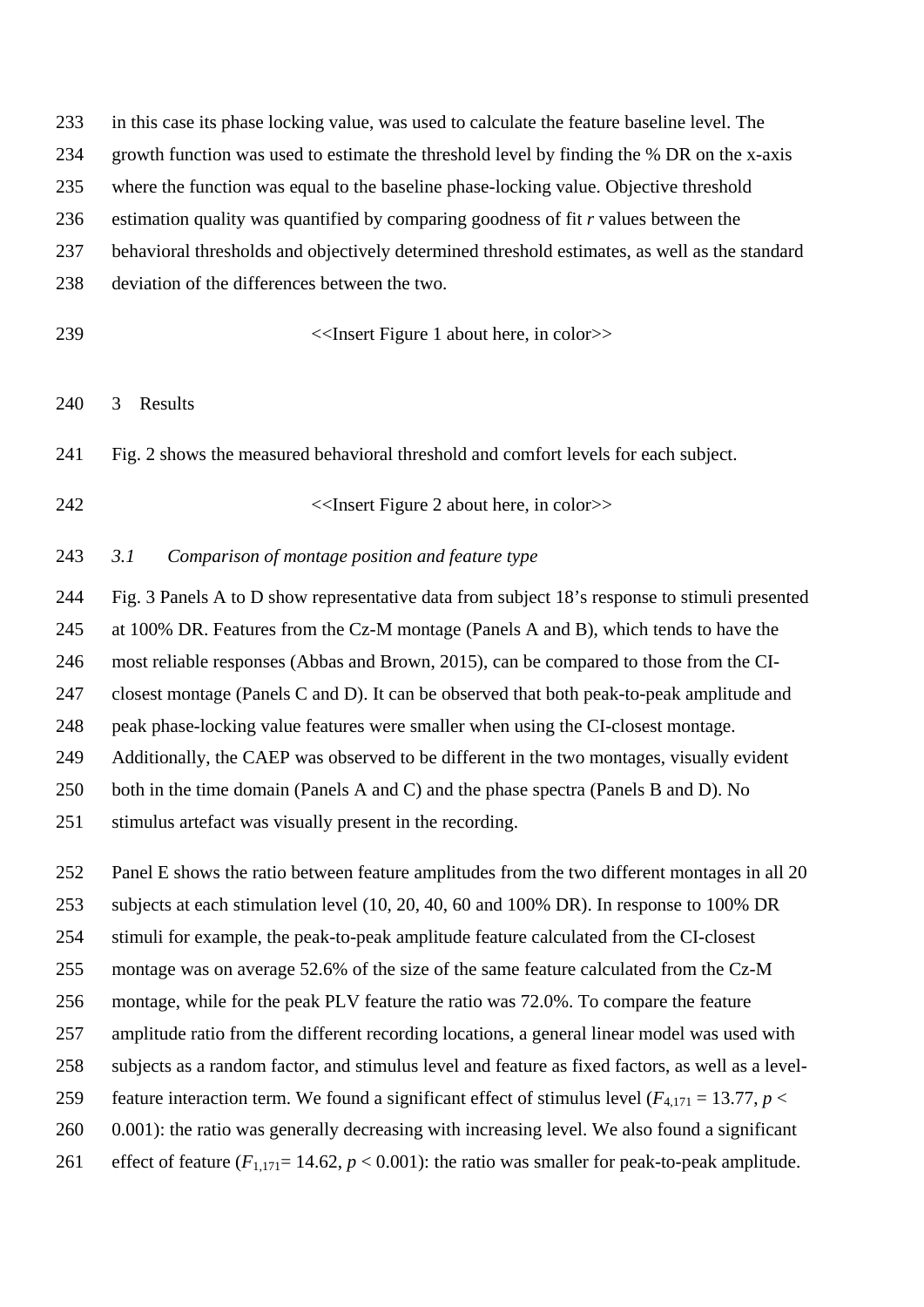in this case its phase locking value, was used to calculate the feature baseline level. The growth function was used to estimate the threshold level by finding the % DR on the x-axis where the function was equal to the baseline phase-locking value. Objective threshold estimation quality was quantified by comparing goodness of fit *r* values between the behavioral thresholds and objectively determined threshold estimates, as well as the standard

- deviation of the differences between the two.
- 

<<Insert Figure 1 about here, in color>>

3 Results

Fig. 2 shows the measured behavioral threshold and comfort levels for each subject.

<<Insert Figure 2 about here, in color>>

### *3.1 Comparison of montage position and feature type*

 Fig. 3 Panels A to D show representative data from subject 18's response to stimuli presented at 100% DR. Features from the Cz-M montage (Panels A and B), which tends to have the most reliable responses (Abbas and Brown, 2015), can be compared to those from the CI- closest montage (Panels C and D). It can be observed that both peak-to-peak amplitude and peak phase-locking value features were smaller when using the CI-closest montage. Additionally, the CAEP was observed to be different in the two montages, visually evident both in the time domain (Panels A and C) and the phase spectra (Panels B and D). No stimulus artefact was visually present in the recording.

Panel E shows the ratio between feature amplitudes from the two different montages in all 20

subjects at each stimulation level (10, 20, 40, 60 and 100% DR). In response to 100% DR

 stimuli for example, the peak-to-peak amplitude feature calculated from the CI-closest montage was on average 52.6% of the size of the same feature calculated from the Cz-M

montage, while for the peak PLV feature the ratio was 72.0%. To compare the feature

amplitude ratio from the different recording locations, a general linear model was used with

subjects as a random factor, and stimulus level and feature as fixed factors, as well as a level-

259 feature interaction term. We found a significant effect of stimulus level ( $F_{4,171} = 13.77$ ,  $p <$ 

0.001): the ratio was generally decreasing with increasing level. We also found a significant

261 effect of feature  $(F_{1,171}= 14.62, p < 0.001)$ : the ratio was smaller for peak-to-peak amplitude.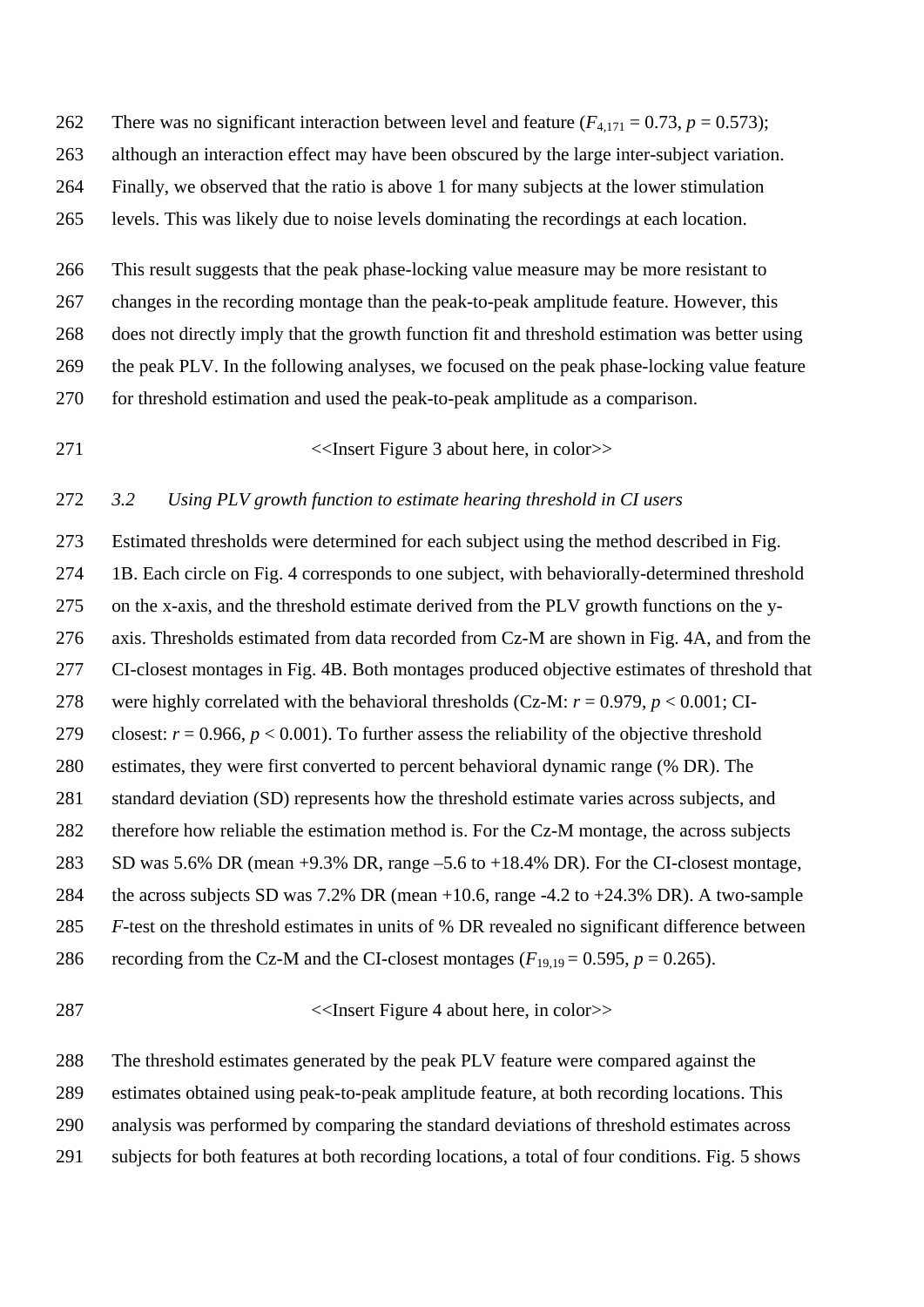262 There was no significant interaction between level and feature  $(F_{4,171} = 0.73, p = 0.573)$ ;

although an interaction effect may have been obscured by the large inter-subject variation.

Finally, we observed that the ratio is above 1 for many subjects at the lower stimulation

levels. This was likely due to noise levels dominating the recordings at each location.

 This result suggests that the peak phase-locking value measure may be more resistant to changes in the recording montage than the peak-to-peak amplitude feature. However, this does not directly imply that the growth function fit and threshold estimation was better using the peak PLV. In the following analyses, we focused on the peak phase-locking value feature for threshold estimation and used the peak-to-peak amplitude as a comparison.

<<Insert Figure 3 about here, in color>>

### *3.2 Using PLV growth function to estimate hearing threshold in CI users*

 Estimated thresholds were determined for each subject using the method described in Fig. 1B. Each circle on Fig. 4 corresponds to one subject, with behaviorally-determined threshold on the x-axis, and the threshold estimate derived from the PLV growth functions on the y- axis. Thresholds estimated from data recorded from Cz-M are shown in Fig. 4A, and from the CI-closest montages in Fig. 4B. Both montages produced objective estimates of threshold that were highly correlated with the behavioral thresholds (Cz-M: *r* = 0.979, *p* < 0.001; CI-279 closest:  $r = 0.966$ ,  $p < 0.001$ ). To further assess the reliability of the objective threshold estimates, they were first converted to percent behavioral dynamic range (% DR). The standard deviation (SD) represents how the threshold estimate varies across subjects, and therefore how reliable the estimation method is. For the Cz-M montage, the across subjects SD was 5.6% DR (mean +9.3% DR, range –5.6 to +18.4% DR). For the CI-closest montage, the across subjects SD was 7.2% DR (mean +10.6, range -4.2 to +24.3% DR). A two-sample *F*-test on the threshold estimates in units of % DR revealed no significant difference between 286 recording from the Cz-M and the CI-closest montages  $(F_{19,19} = 0.595, p = 0.265)$ .

<<Insert Figure 4 about here, in color>>

The threshold estimates generated by the peak PLV feature were compared against the

estimates obtained using peak-to-peak amplitude feature, at both recording locations. This

analysis was performed by comparing the standard deviations of threshold estimates across

subjects for both features at both recording locations, a total of four conditions. Fig. 5 shows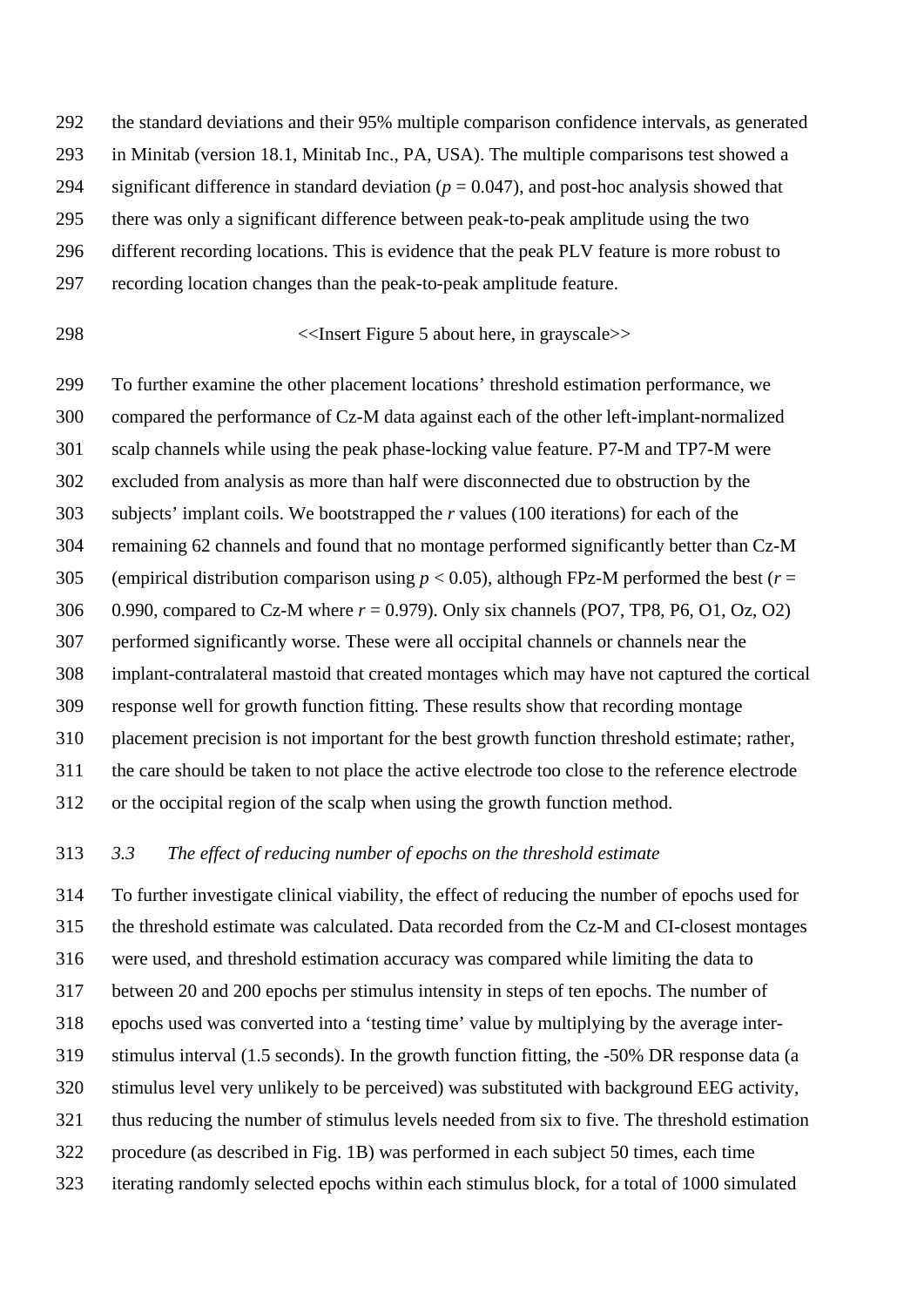the standard deviations and their 95% multiple comparison confidence intervals, as generated in Minitab (version 18.1, Minitab Inc., PA, USA). The multiple comparisons test showed a 294 significant difference in standard deviation  $(p = 0.047)$ , and post-hoc analysis showed that there was only a significant difference between peak-to-peak amplitude using the two different recording locations. This is evidence that the peak PLV feature is more robust to recording location changes than the peak-to-peak amplitude feature.

### <<Insert Figure 5 about here, in grayscale>>

 To further examine the other placement locations' threshold estimation performance, we compared the performance of Cz-M data against each of the other left-implant-normalized scalp channels while using the peak phase-locking value feature. P7-M and TP7-M were excluded from analysis as more than half were disconnected due to obstruction by the subjects' implant coils. We bootstrapped the *r* values (100 iterations) for each of the remaining 62 channels and found that no montage performed significantly better than Cz-M (empirical distribution comparison using *p* < 0.05), although FPz-M performed the best (*r* = 0.990, compared to Cz-M where *r* = 0.979). Only six channels (PO7, TP8, P6, O1, Oz, O2) performed significantly worse. These were all occipital channels or channels near the implant-contralateral mastoid that created montages which may have not captured the cortical response well for growth function fitting. These results show that recording montage placement precision is not important for the best growth function threshold estimate; rather, the care should be taken to not place the active electrode too close to the reference electrode or the occipital region of the scalp when using the growth function method.

#### *3.3 The effect of reducing number of epochs on the threshold estimate*

 To further investigate clinical viability, the effect of reducing the number of epochs used for the threshold estimate was calculated. Data recorded from the Cz-M and CI-closest montages were used, and threshold estimation accuracy was compared while limiting the data to between 20 and 200 epochs per stimulus intensity in steps of ten epochs. The number of epochs used was converted into a 'testing time' value by multiplying by the average inter- stimulus interval (1.5 seconds). In the growth function fitting, the -50% DR response data (a stimulus level very unlikely to be perceived) was substituted with background EEG activity, thus reducing the number of stimulus levels needed from six to five. The threshold estimation procedure (as described in Fig. 1B) was performed in each subject 50 times, each time iterating randomly selected epochs within each stimulus block, for a total of 1000 simulated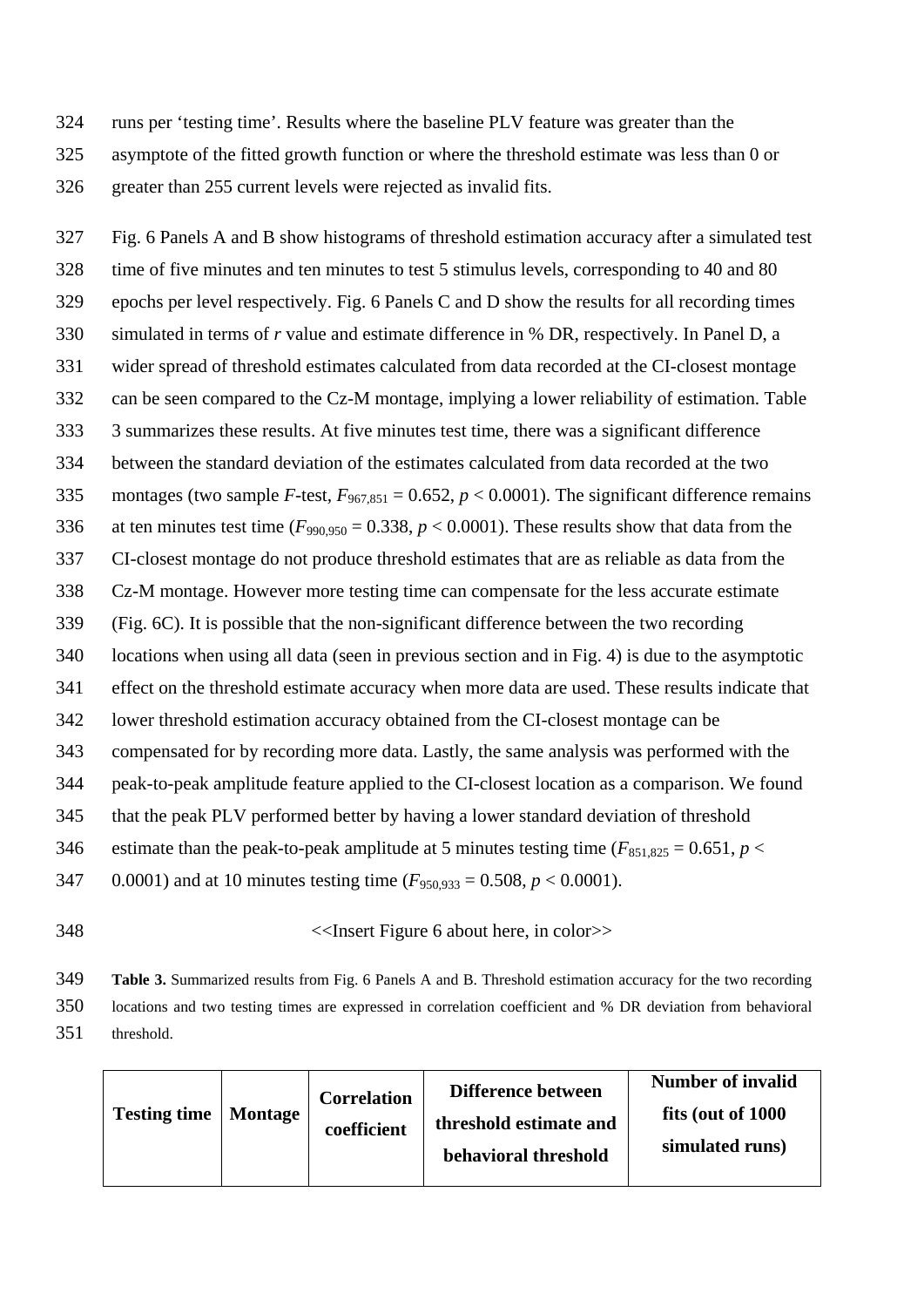- runs per 'testing time'. Results where the baseline PLV feature was greater than the
- asymptote of the fitted growth function or where the threshold estimate was less than 0 or

greater than 255 current levels were rejected as invalid fits.

 Fig. 6 Panels A and B show histograms of threshold estimation accuracy after a simulated test time of five minutes and ten minutes to test 5 stimulus levels, corresponding to 40 and 80 epochs per level respectively. Fig. 6 Panels C and D show the results for all recording times simulated in terms of *r* value and estimate difference in % DR, respectively. In Panel D, a wider spread of threshold estimates calculated from data recorded at the CI-closest montage can be seen compared to the Cz-M montage, implying a lower reliability of estimation. Table 3 summarizes these results. At five minutes test time, there was a significant difference between the standard deviation of the estimates calculated from data recorded at the two 335 montages (two sample *F*-test,  $F_{967,851} = 0.652$ ,  $p < 0.0001$ ). The significant difference remains 336 at ten minutes test time  $(F_{990.950} = 0.338, p < 0.0001)$ . These results show that data from the CI-closest montage do not produce threshold estimates that are as reliable as data from the Cz-M montage. However more testing time can compensate for the less accurate estimate (Fig. 6C). It is possible that the non-significant difference between the two recording locations when using all data (seen in previous section and in Fig. 4) is due to the asymptotic effect on the threshold estimate accuracy when more data are used. These results indicate that lower threshold estimation accuracy obtained from the CI-closest montage can be compensated for by recording more data. Lastly, the same analysis was performed with the peak-to-peak amplitude feature applied to the CI-closest location as a comparison. We found that the peak PLV performed better by having a lower standard deviation of threshold 346 estimate than the peak-to-peak amplitude at 5 minutes testing time  $(F_{851,825} = 0.651, p <$ 347 0.0001) and at 10 minutes testing time  $(F_{950,933} = 0.508, p < 0.0001)$ .

## <<Insert Figure 6 about here, in color>>

 **Table 3.** Summarized results from Fig. 6 Panels A and B. Threshold estimation accuracy for the two recording locations and two testing times are expressed in correlation coefficient and % DR deviation from behavioral threshold.

| <b>Testing time</b> | <b>Montage</b> | <b>Correlation</b><br>coefficient | Difference between<br>threshold estimate and<br>behavioral threshold | <b>Number of invalid</b><br>fits (out of 1000)<br>simulated runs) |
|---------------------|----------------|-----------------------------------|----------------------------------------------------------------------|-------------------------------------------------------------------|
|---------------------|----------------|-----------------------------------|----------------------------------------------------------------------|-------------------------------------------------------------------|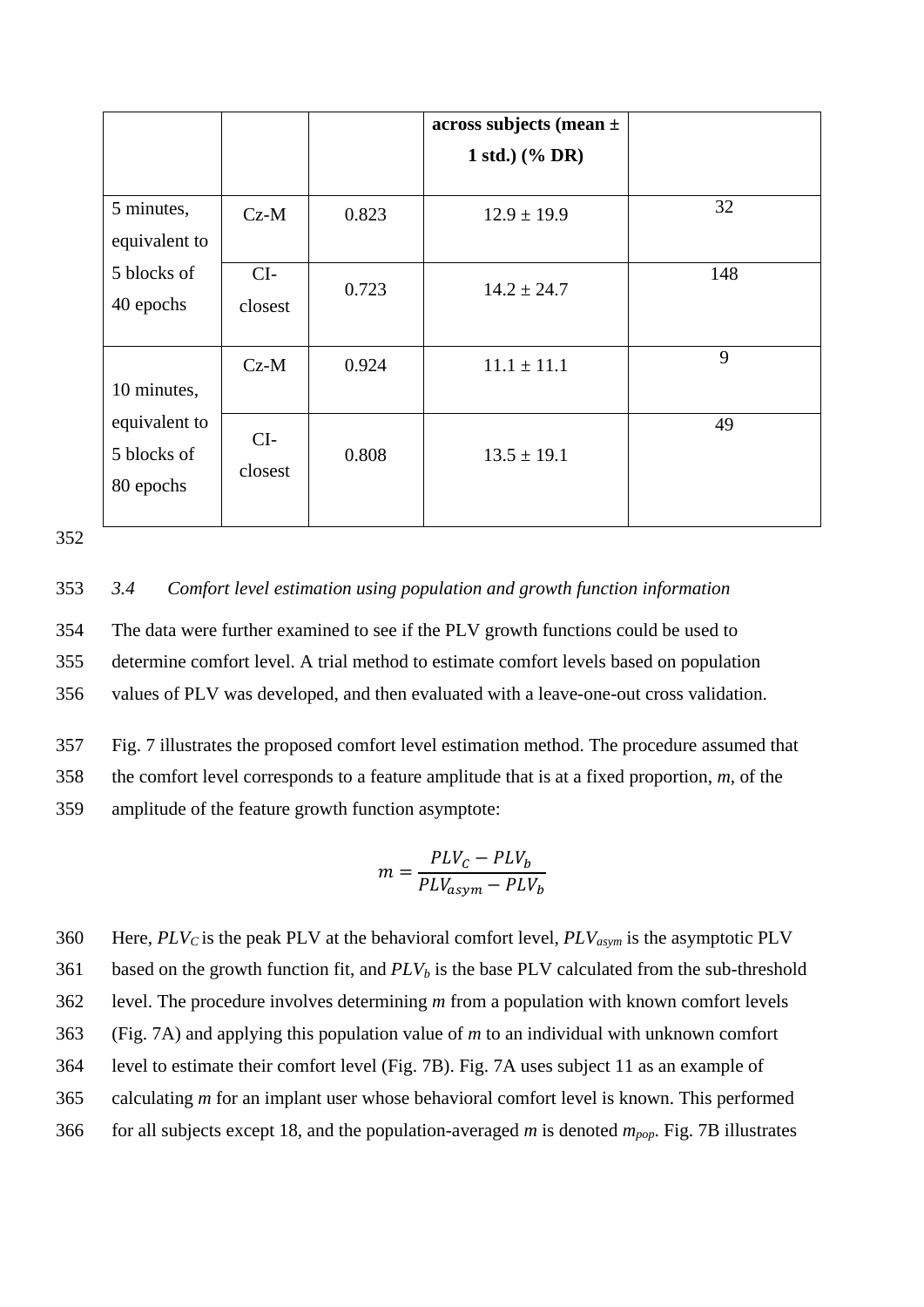|               |         |       | $across$ subjects (mean $\pm$ |     |
|---------------|---------|-------|-------------------------------|-----|
|               |         |       | 1 std.) $(\%$ DR)             |     |
|               |         |       |                               |     |
| 5 minutes,    | $Cz-M$  | 0.823 | $12.9 \pm 19.9$               | 32  |
| equivalent to |         |       |                               |     |
| 5 blocks of   | $CI-$   |       |                               | 148 |
| 40 epochs     | closest | 0.723 | $14.2 \pm 24.7$               |     |
|               |         |       |                               |     |
|               | $Cz-M$  | 0.924 | $11.1 \pm 11.1$               | 9   |
| 10 minutes,   |         |       |                               |     |
| equivalent to |         |       |                               | 49  |
| 5 blocks of   | $CI-$   | 0.808 | $13.5 \pm 19.1$               |     |
|               | closest |       |                               |     |
| 80 epochs     |         |       |                               |     |
|               |         |       |                               |     |

352

# 353 *3.4 Comfort level estimation using population and growth function information*

354 The data were further examined to see if the PLV growth functions could be used to 355 determine comfort level. A trial method to estimate comfort levels based on population 356 values of PLV was developed, and then evaluated with a leave-one-out cross validation.

357 Fig. 7 illustrates the proposed comfort level estimation method. The procedure assumed that 358 the comfort level corresponds to a feature amplitude that is at a fixed proportion, *m*, of the 359 amplitude of the feature growth function asymptote:

$$
m = \frac{PLV_C - PLV_b}{PLV_{asym} - PLV_b}
$$

360 Here,  $PLV_C$  is the peak PLV at the behavioral comfort level,  $PLV_{asym}$  is the asymptotic PLV 361 based on the growth function fit, and  $PLV<sub>b</sub>$  is the base PLV calculated from the sub-threshold level. The procedure involves determining *m* from a population with known comfort levels (Fig. 7A) and applying this population value of *m* to an individual with unknown comfort level to estimate their comfort level (Fig. 7B). Fig. 7A uses subject 11 as an example of calculating *m* for an implant user whose behavioral comfort level is known. This performed for all subjects except 18, and the population-averaged *m* is denoted *mpop*. Fig. 7B illustrates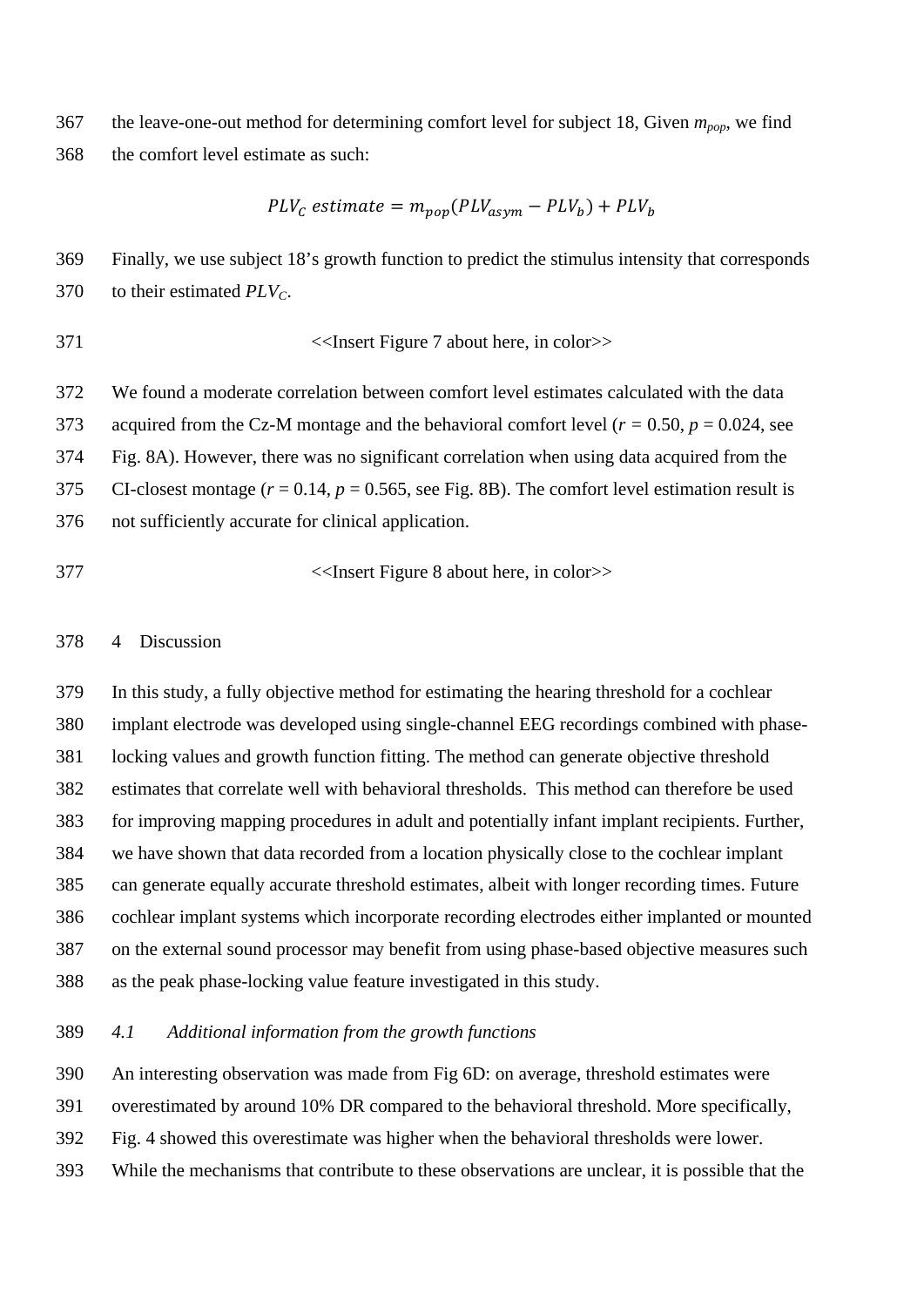the leave-one-out method for determining comfort level for subject 18, Given *mpop*, we find the comfort level estimate as such:

$$
PLV_C estimate = m_{pop}(PLV_{asym} - PLV_b) + PLV_b
$$

 Finally, we use subject 18's growth function to predict the stimulus intensity that corresponds to their estimated *PLVC*.

371 
$$
\langle
$$
 **Insert Figure 7 about here, in color**

 We found a moderate correlation between comfort level estimates calculated with the data 373 acquired from the Cz-M montage and the behavioral comfort level ( $r = 0.50$ ,  $p = 0.024$ , see Fig. 8A). However, there was no significant correlation when using data acquired from the 375 CI-closest montage  $(r = 0.14, p = 0.565,$  see Fig. 8B). The comfort level estimation result is not sufficiently accurate for clinical application.

<<Insert Figure 8 about here, in color>>

## 4 Discussion

 In this study, a fully objective method for estimating the hearing threshold for a cochlear implant electrode was developed using single-channel EEG recordings combined with phase- locking values and growth function fitting. The method can generate objective threshold estimates that correlate well with behavioral thresholds. This method can therefore be used for improving mapping procedures in adult and potentially infant implant recipients. Further, we have shown that data recorded from a location physically close to the cochlear implant can generate equally accurate threshold estimates, albeit with longer recording times. Future cochlear implant systems which incorporate recording electrodes either implanted or mounted on the external sound processor may benefit from using phase-based objective measures such as the peak phase-locking value feature investigated in this study.

## *4.1 Additional information from the growth functions*

An interesting observation was made from Fig 6D: on average, threshold estimates were

overestimated by around 10% DR compared to the behavioral threshold. More specifically,

- Fig. 4 showed this overestimate was higher when the behavioral thresholds were lower.
- While the mechanisms that contribute to these observations are unclear, it is possible that the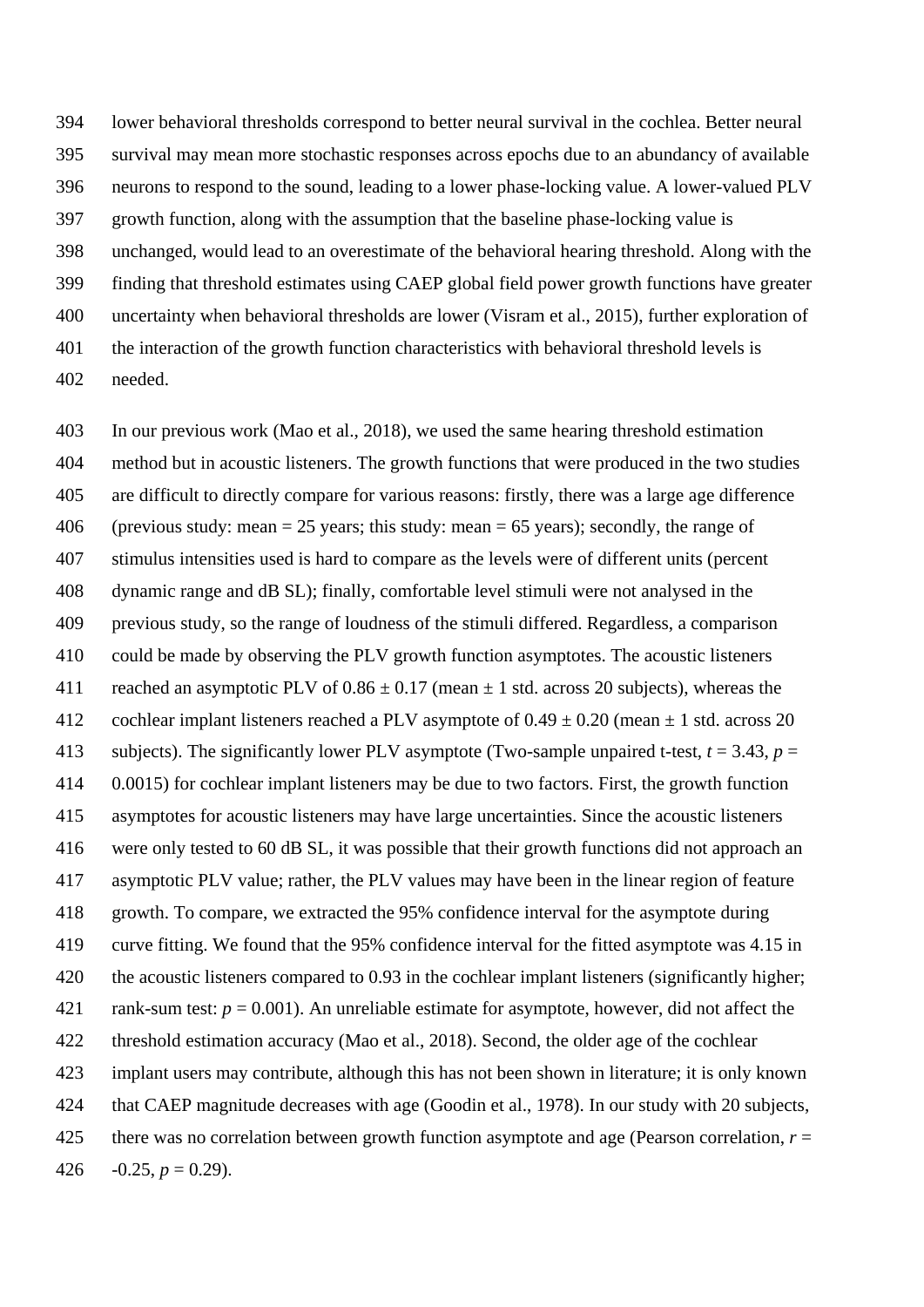lower behavioral thresholds correspond to better neural survival in the cochlea. Better neural survival may mean more stochastic responses across epochs due to an abundancy of available neurons to respond to the sound, leading to a lower phase-locking value. A lower-valued PLV growth function, along with the assumption that the baseline phase-locking value is unchanged, would lead to an overestimate of the behavioral hearing threshold. Along with the finding that threshold estimates using CAEP global field power growth functions have greater uncertainty when behavioral thresholds are lower (Visram et al., 2015), further exploration of the interaction of the growth function characteristics with behavioral threshold levels is needed.

 In our previous work (Mao et al., 2018), we used the same hearing threshold estimation method but in acoustic listeners. The growth functions that were produced in the two studies are difficult to directly compare for various reasons: firstly, there was a large age difference 406 (previous study: mean  $= 25$  years; this study: mean  $= 65$  years); secondly, the range of stimulus intensities used is hard to compare as the levels were of different units (percent dynamic range and dB SL); finally, comfortable level stimuli were not analysed in the previous study, so the range of loudness of the stimuli differed. Regardless, a comparison could be made by observing the PLV growth function asymptotes. The acoustic listeners 411 reached an asymptotic PLV of  $0.86 \pm 0.17$  (mean  $\pm 1$  std. across 20 subjects), whereas the 412 cochlear implant listeners reached a PLV asymptote of  $0.49 \pm 0.20$  (mean  $\pm 1$  std. across 20 413 subjects). The significantly lower PLV asymptote (Two-sample unpaired t-test,  $t = 3.43$ ,  $p =$  0.0015) for cochlear implant listeners may be due to two factors. First, the growth function asymptotes for acoustic listeners may have large uncertainties. Since the acoustic listeners were only tested to 60 dB SL, it was possible that their growth functions did not approach an asymptotic PLV value; rather, the PLV values may have been in the linear region of feature growth. To compare, we extracted the 95% confidence interval for the asymptote during curve fitting. We found that the 95% confidence interval for the fitted asymptote was 4.15 in the acoustic listeners compared to 0.93 in the cochlear implant listeners (significantly higher; 421 rank-sum test:  $p = 0.001$ ). An unreliable estimate for asymptote, however, did not affect the threshold estimation accuracy (Mao et al., 2018). Second, the older age of the cochlear implant users may contribute, although this has not been shown in literature; it is only known that CAEP magnitude decreases with age (Goodin et al., 1978). In our study with 20 subjects, there was no correlation between growth function asymptote and age (Pearson correlation, *r* =  $-0.25, p = 0.29$ .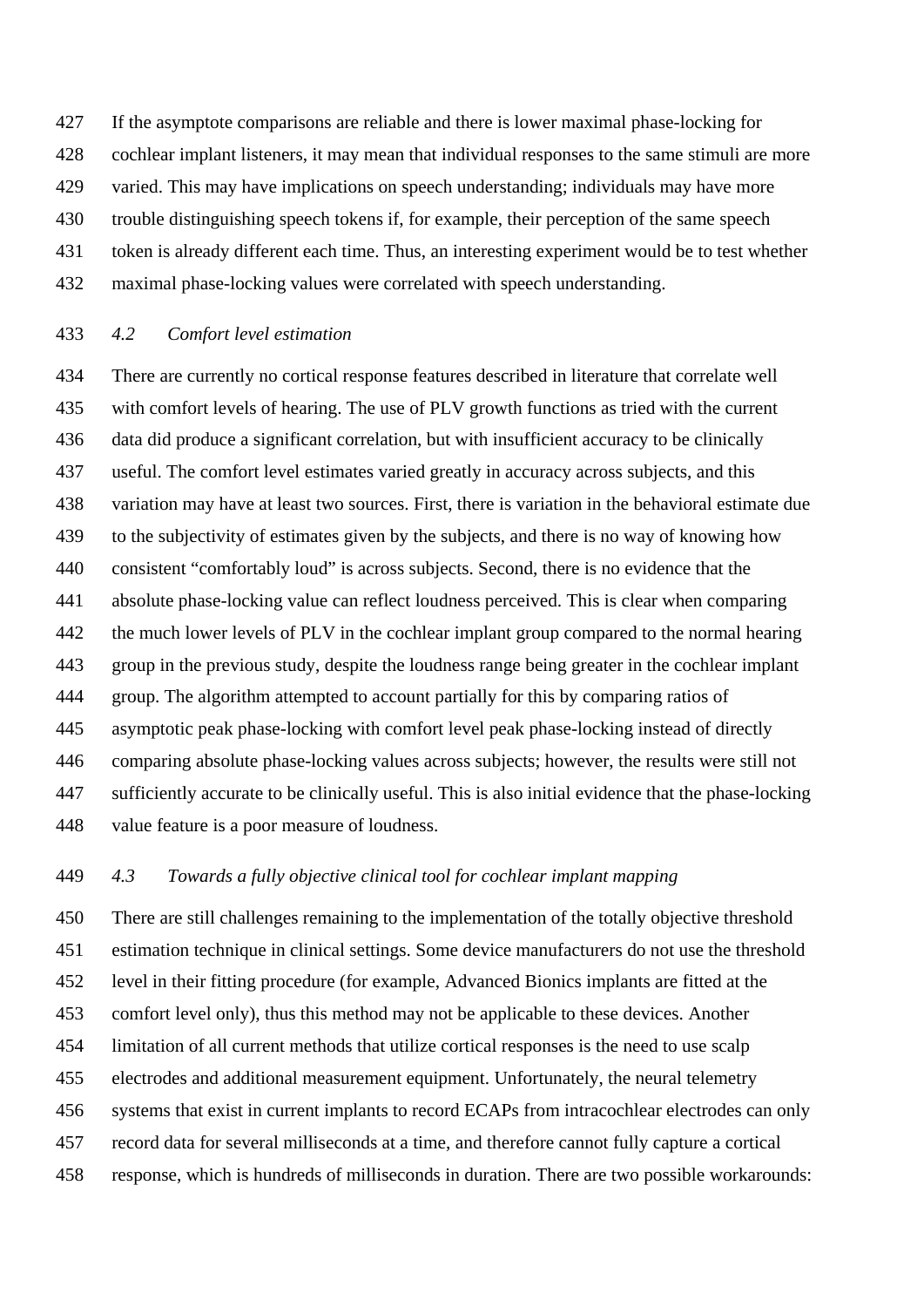If the asymptote comparisons are reliable and there is lower maximal phase-locking for cochlear implant listeners, it may mean that individual responses to the same stimuli are more varied. This may have implications on speech understanding; individuals may have more trouble distinguishing speech tokens if, for example, their perception of the same speech token is already different each time. Thus, an interesting experiment would be to test whether maximal phase-locking values were correlated with speech understanding.

# *4.2 Comfort level estimation*

 There are currently no cortical response features described in literature that correlate well with comfort levels of hearing. The use of PLV growth functions as tried with the current data did produce a significant correlation, but with insufficient accuracy to be clinically useful. The comfort level estimates varied greatly in accuracy across subjects, and this variation may have at least two sources. First, there is variation in the behavioral estimate due to the subjectivity of estimates given by the subjects, and there is no way of knowing how consistent "comfortably loud" is across subjects. Second, there is no evidence that the absolute phase-locking value can reflect loudness perceived. This is clear when comparing 442 the much lower levels of PLV in the cochlear implant group compared to the normal hearing group in the previous study, despite the loudness range being greater in the cochlear implant group. The algorithm attempted to account partially for this by comparing ratios of asymptotic peak phase-locking with comfort level peak phase-locking instead of directly comparing absolute phase-locking values across subjects; however, the results were still not sufficiently accurate to be clinically useful. This is also initial evidence that the phase-locking value feature is a poor measure of loudness.

# *4.3 Towards a fully objective clinical tool for cochlear implant mapping*

 There are still challenges remaining to the implementation of the totally objective threshold estimation technique in clinical settings. Some device manufacturers do not use the threshold level in their fitting procedure (for example, Advanced Bionics implants are fitted at the comfort level only), thus this method may not be applicable to these devices. Another limitation of all current methods that utilize cortical responses is the need to use scalp electrodes and additional measurement equipment. Unfortunately, the neural telemetry systems that exist in current implants to record ECAPs from intracochlear electrodes can only record data for several milliseconds at a time, and therefore cannot fully capture a cortical response, which is hundreds of milliseconds in duration. There are two possible workarounds: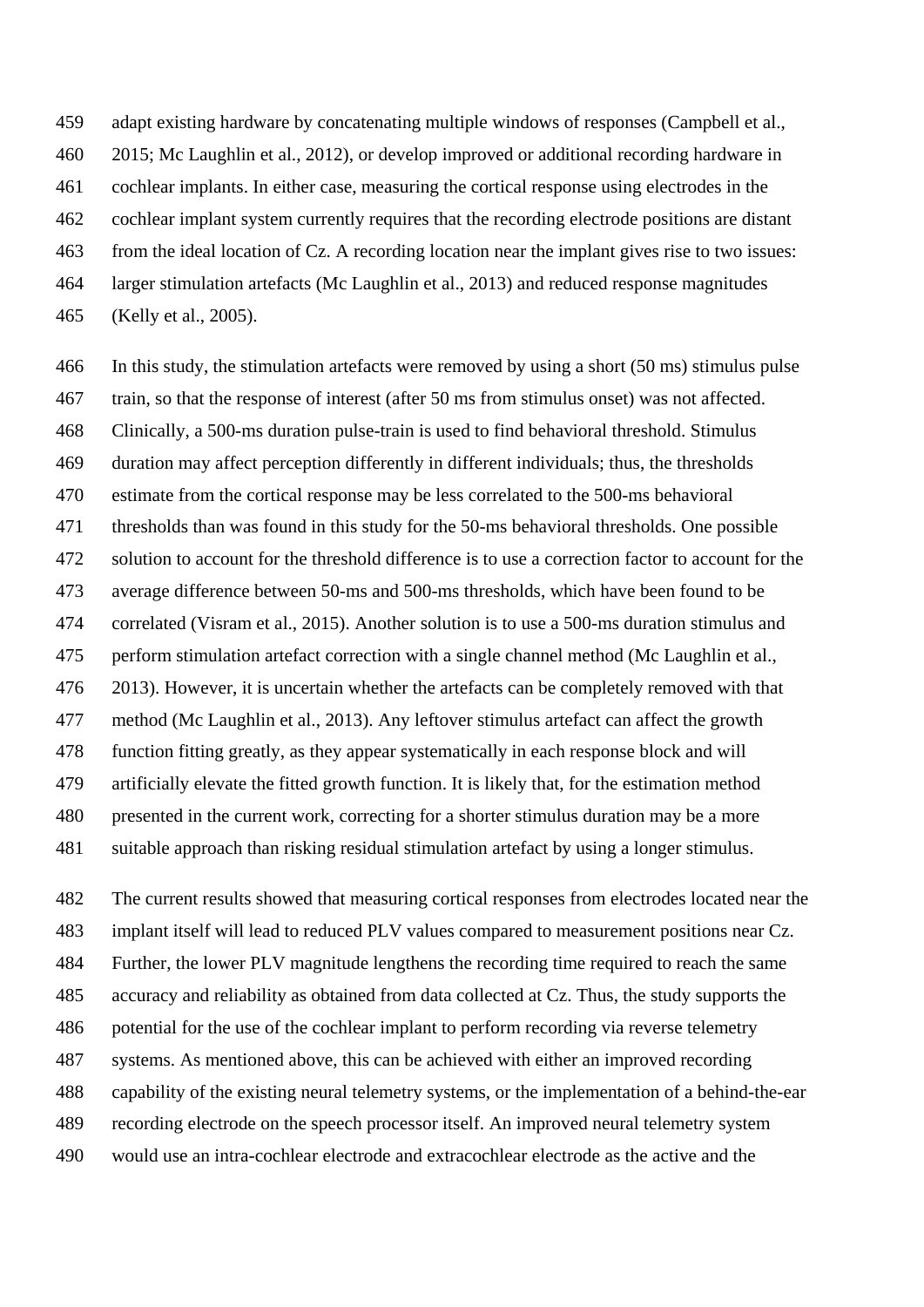adapt existing hardware by concatenating multiple windows of responses (Campbell et al., 2015; Mc Laughlin et al., 2012), or develop improved or additional recording hardware in cochlear implants. In either case, measuring the cortical response using electrodes in the cochlear implant system currently requires that the recording electrode positions are distant from the ideal location of Cz. A recording location near the implant gives rise to two issues: larger stimulation artefacts (Mc Laughlin et al., 2013) and reduced response magnitudes (Kelly et al., 2005).

 In this study, the stimulation artefacts were removed by using a short (50 ms) stimulus pulse train, so that the response of interest (after 50 ms from stimulus onset) was not affected. Clinically, a 500-ms duration pulse-train is used to find behavioral threshold. Stimulus duration may affect perception differently in different individuals; thus, the thresholds estimate from the cortical response may be less correlated to the 500-ms behavioral thresholds than was found in this study for the 50-ms behavioral thresholds. One possible solution to account for the threshold difference is to use a correction factor to account for the average difference between 50-ms and 500-ms thresholds, which have been found to be correlated (Visram et al., 2015). Another solution is to use a 500-ms duration stimulus and perform stimulation artefact correction with a single channel method (Mc Laughlin et al., 2013). However, it is uncertain whether the artefacts can be completely removed with that method (Mc Laughlin et al., 2013). Any leftover stimulus artefact can affect the growth function fitting greatly, as they appear systematically in each response block and will artificially elevate the fitted growth function. It is likely that, for the estimation method presented in the current work, correcting for a shorter stimulus duration may be a more suitable approach than risking residual stimulation artefact by using a longer stimulus.

 The current results showed that measuring cortical responses from electrodes located near the implant itself will lead to reduced PLV values compared to measurement positions near Cz. Further, the lower PLV magnitude lengthens the recording time required to reach the same accuracy and reliability as obtained from data collected at Cz. Thus, the study supports the potential for the use of the cochlear implant to perform recording via reverse telemetry systems. As mentioned above, this can be achieved with either an improved recording capability of the existing neural telemetry systems, or the implementation of a behind-the-ear recording electrode on the speech processor itself. An improved neural telemetry system would use an intra-cochlear electrode and extracochlear electrode as the active and the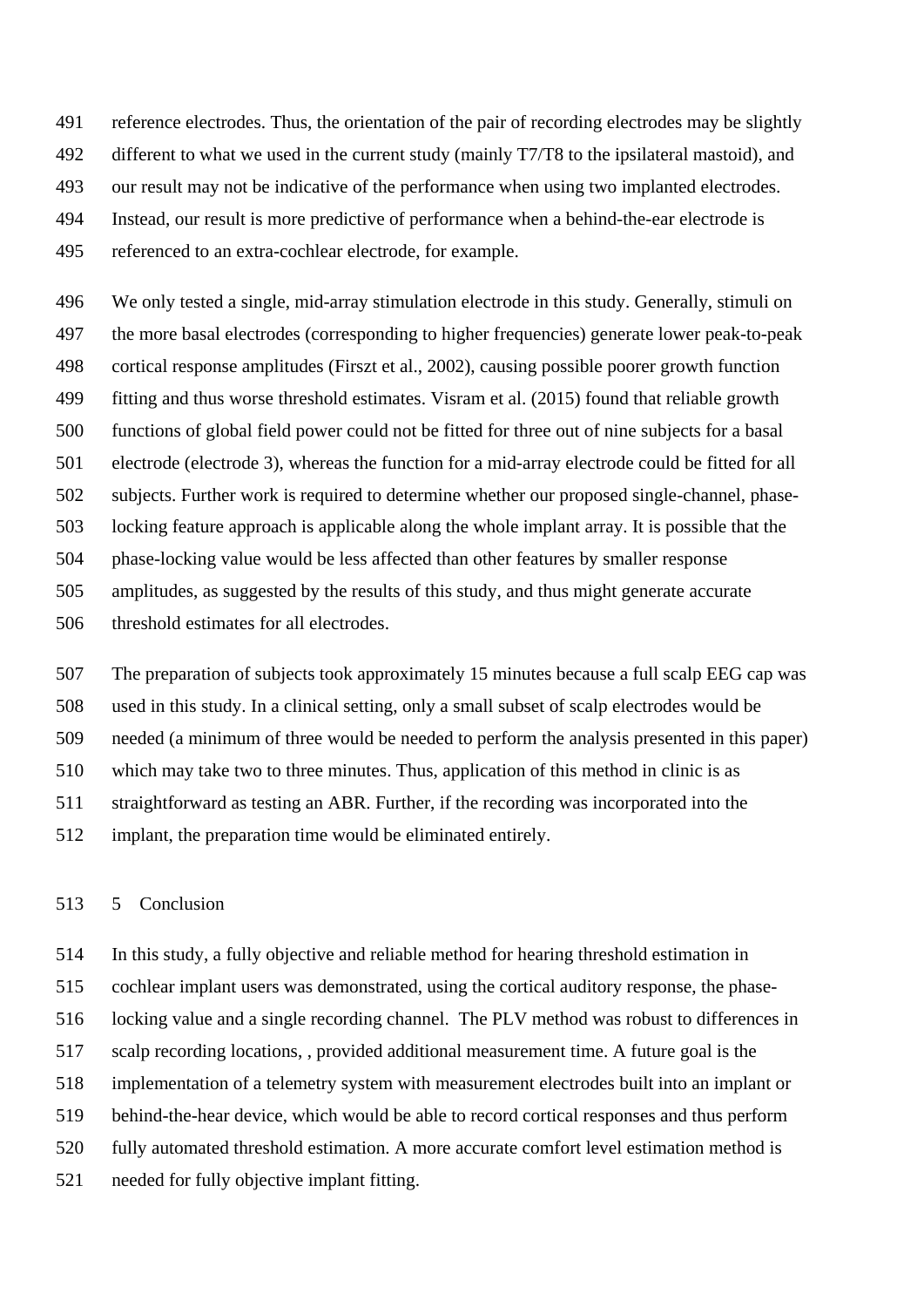reference electrodes. Thus, the orientation of the pair of recording electrodes may be slightly different to what we used in the current study (mainly T7/T8 to the ipsilateral mastoid), and our result may not be indicative of the performance when using two implanted electrodes. Instead, our result is more predictive of performance when a behind-the-ear electrode is

referenced to an extra-cochlear electrode, for example.

 We only tested a single, mid-array stimulation electrode in this study. Generally, stimuli on the more basal electrodes (corresponding to higher frequencies) generate lower peak-to-peak cortical response amplitudes (Firszt et al., 2002), causing possible poorer growth function fitting and thus worse threshold estimates. Visram et al. (2015) found that reliable growth functions of global field power could not be fitted for three out of nine subjects for a basal electrode (electrode 3), whereas the function for a mid-array electrode could be fitted for all subjects. Further work is required to determine whether our proposed single-channel, phase- locking feature approach is applicable along the whole implant array. It is possible that the phase-locking value would be less affected than other features by smaller response amplitudes, as suggested by the results of this study, and thus might generate accurate threshold estimates for all electrodes.

 The preparation of subjects took approximately 15 minutes because a full scalp EEG cap was used in this study. In a clinical setting, only a small subset of scalp electrodes would be needed (a minimum of three would be needed to perform the analysis presented in this paper) which may take two to three minutes. Thus, application of this method in clinic is as straightforward as testing an ABR. Further, if the recording was incorporated into the implant, the preparation time would be eliminated entirely.

### 5 Conclusion

 In this study, a fully objective and reliable method for hearing threshold estimation in cochlear implant users was demonstrated, using the cortical auditory response, the phase- locking value and a single recording channel. The PLV method was robust to differences in scalp recording locations, , provided additional measurement time. A future goal is the implementation of a telemetry system with measurement electrodes built into an implant or behind-the-hear device, which would be able to record cortical responses and thus perform fully automated threshold estimation. A more accurate comfort level estimation method is needed for fully objective implant fitting.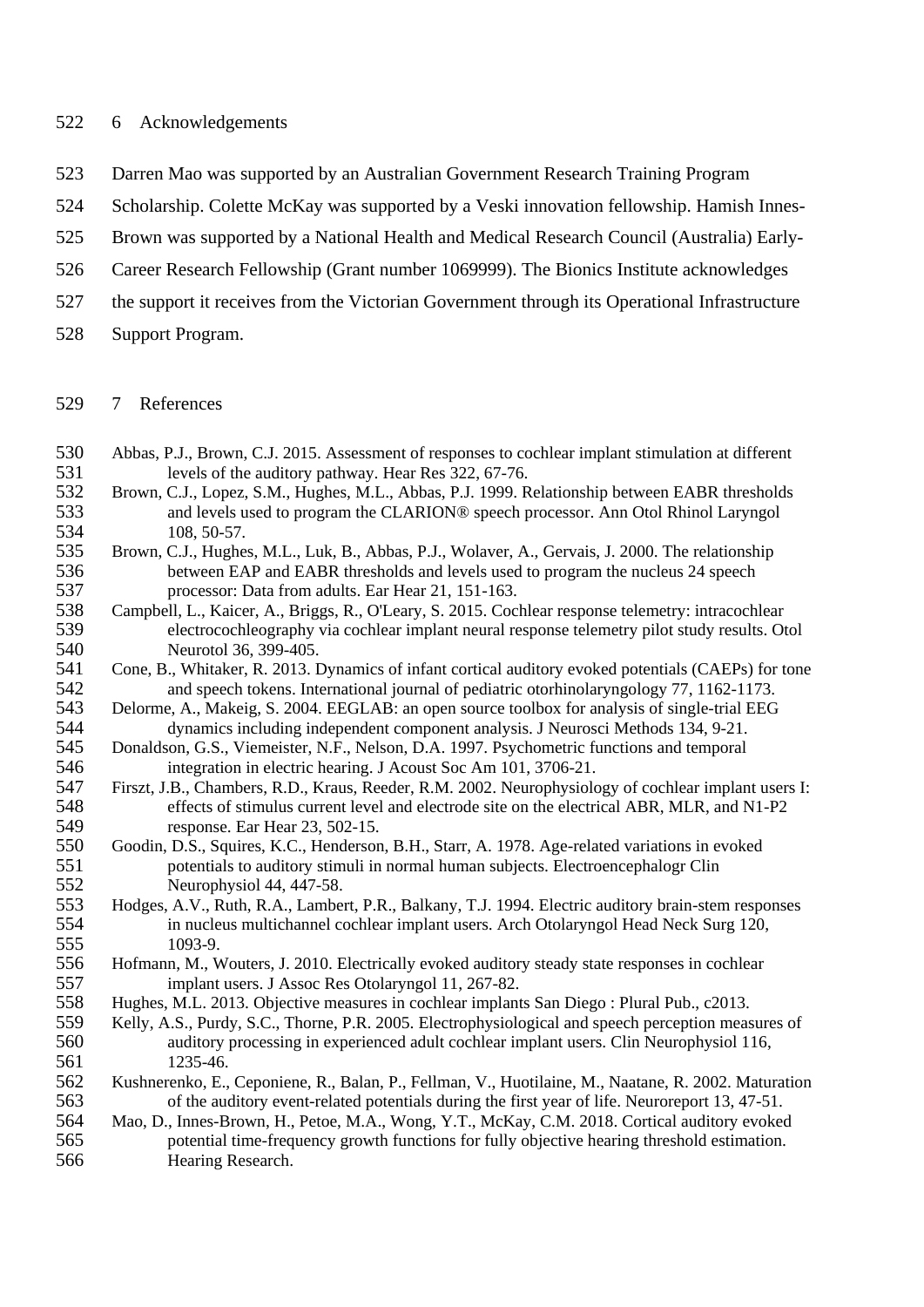### 522 6 Acknowledgements

- 523 Darren Mao was supported by an Australian Government Research Training Program
- 524 Scholarship. Colette McKay was supported by a Veski innovation fellowship. Hamish Innes-
- 525 Brown was supported by a National Health and Medical Research Council (Australia) Early-
- 526 Career Research Fellowship (Grant number 1069999). The Bionics Institute acknowledges
- 527 the support it receives from the Victorian Government through its Operational Infrastructure
- 528 Support Program.

## 529 7 References

- 530 Abbas, P.J., Brown, C.J. 2015. Assessment of responses to cochlear implant stimulation at different levels of the auditory pathway. Hear Res 322, 67-76. 531 levels of the auditory pathway. Hear Res 322, 67-76.<br>532 Brown, C.J., Lopez, S.M., Hughes, M.L., Abbas, P.J. 1999.
- 532 Brown, C.J., Lopez, S.M., Hughes, M.L., Abbas, P.J. 1999. Relationship between EABR thresholds 533 and levels used to program the CLARION® speech processor. Ann Otol Rhinol Laryngol 534 108, 50-57.<br>535 Brown, C.J., Hughe
- 535 Brown, C.J., Hughes, M.L., Luk, B., Abbas, P.J., Wolaver, A., Gervais, J. 2000. The relationship 536 between EAP and EABR thresholds and levels used to program the nucleus 24 speech<br>537 processor: Data from adults. Ear Hear 21, 151-163. 537 processor: Data from adults. Ear Hear 21, 151-163.<br>538 Campbell, L., Kaicer, A., Briggs, R., O'Leary, S. 2015. Coc
- 538 Campbell, L., Kaicer, A., Briggs, R., O'Leary, S. 2015. Cochlear response telemetry: intracochlear electrocochleography via cochlear implant neural response telemetry pilot study results. Or 539 electrocochleography via cochlear implant neural response telemetry pilot study results. Otol 540 Neurotol 36, 399-405.
- 541 Cone, B., Whitaker, R. 2013. Dynamics of infant cortical auditory evoked potentials (CAEPs) for tone and speech tokens. International iournal of pediatric otorhinolary neology 77, 1162-1173. 542 and speech tokens. International journal of pediatric otorhinolaryngology 77, 1162-1173.<br>543 Delorme, A., Makeig, S. 2004. EEGLAB: an open source toolbox for analysis of single-trial EEG
- 543 Delorme, A., Makeig, S. 2004. EEGLAB: an open source toolbox for analysis of single-trial EEG 544 dynamics including independent component analysis. J Neurosci Methods 134, 9-21.<br>545 Donaldson, G.S., Viemeister, N.F., Nelson, D.A. 1997. Psychometric functions and temporal
- 545 Donaldson, G.S., Viemeister, N.F., Nelson, D.A. 1997. Psychometric functions and temporal 546 integration in electric hearing. J Acoust Soc Am 101, 3706-21.<br>547 Firszt, J.B., Chambers, R.D., Kraus, Reeder, R.M. 2002. Neurophysiology
- 547 Firszt, J.B., Chambers, R.D., Kraus, Reeder, R.M. 2002. Neurophysiology of cochlear implant users I: 548 effects of stimulus current level and electrode site on the electrical ABR, MLR, and N1-P2<br>549 esponse. Ear Hear 23, 502-15. 549 response. Ear Hear 23, 502-15.<br>550 Goodin, D.S., Squires, K.C., Henderson
- 550 Goodin, D.S., Squires, K.C., Henderson, B.H., Starr, A. 1978. Age-related variations in evoked 551 potentials to auditory stimuli in normal human subjects. Electroencephalogr Clin 552 Neurophysiol 44, 447-58.
- 553 Hodges, A.V., Ruth, R.A., Lambert, P.R., Balkany, T.J. 1994. Electric auditory brain-stem responses 554 in nucleus multichannel cochlear implant users. Arch Otolaryngol Head Neck Surg 120, 1093-9.
- 556 Hofmann, M., Wouters, J. 2010. Electrically evoked auditory steady state responses in cochlear<br>557 implant users. J Assoc Res Otolaryngol 11, 267-82. implant users. J Assoc Res Otolaryngol 11, 267-82.
- 558 Hughes, M.L. 2013. Objective measures in cochlear implants San Diego : Plural Pub., c2013.
- 559 Kelly, A.S., Purdy, S.C., Thorne, P.R. 2005. Electrophysiological and speech perception measures of 560 auditory processing in experienced adult cochlear implant users. Clin Neurophysiol 116,<br>561 1235-46. 561 1235-46.<br>562 Kushnerenko, E.
- 562 Kushnerenko, E., Ceponiene, R., Balan, P., Fellman, V., Huotilaine, M., Naatane, R. 2002. Maturation of the auditory event-related potentials during the first vear of life. Neuroreport 13, 47-51. 563 of the auditory event-related potentials during the first year of life. Neuroreport 13, 47-51.

564 Mao, D., Innes-Brown, H., Petoe, M.A., Wong, Y.T., McKay, C.M. 2018. Cortical auditory evoked 565 potential time-frequency growth functions for fully objective hearing threshold estimation. 566 Hearing Research.